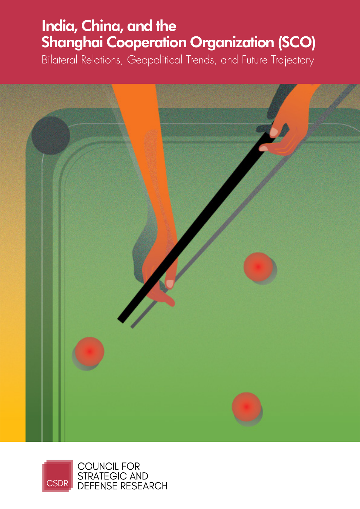### India, China, and the Shanghai Cooperation Organization (SCO)

Bilateral Relations, Geopolitical Trends, and Future Trajectory



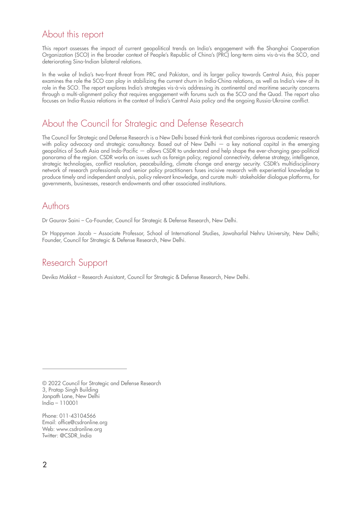### About this report

This report assesses the impact of current geopolitical trends on India's engagement with the Shanghai Cooperation Organization (SCO) in the broader context of People's Republic of China's (PRC) long-term aims vis-à-vis the SCO, and deteriorating Sino-Indian bilateral relations.

In the wake of India's two-front threat from PRC and Pakistan, and its larger policy towards Central Asia, this paper examines the role the SCO can play in stabilizing the current churn in India-China relations, as well as India's view of its role in the SCO. The report explores India's strategies vis-à-vis addressing its continental and maritime security concerns through a multi-alignment policy that requires engagement with forums such as the SCO and the Quad. The report also focuses on India-Russia relations in the context of India's Central Asia policy and the ongoing Russia-Ukraine conflict.

### About the Council for Strategic and Defense Research

The Council for Strategic and Defense Research is a New Delhi based think-tank that combines rigorous academic research with policy advocacy and strategic consultancy. Based out of New Delhi — a key national capital in the emerging geopolitics of South Asia and Indo-Pacific — allows CSDR to understand and help shape the ever-changing geo-political panorama of the region. CSDR works on issues such as foreign policy, regional connectivity, defense strategy, intelligence, strategic technologies, conflict resolution, peacebuilding, climate change and energy security. CSDR's multidisciplinary network of research professionals and senior policy practitioners fuses incisive research with experiential knowledge to produce timely and independent analysis, policy relevant knowledge, and curate multi- stakeholder dialogue platforms, for governments, businesses, research endowments and other associated institutions.

### Authors

Dr Gaurav Saini – Co-Founder, Council for Strategic & Defense Research, New Delhi.

Dr Happymon Jacob – Associate Professor, School of International Studies, Jawaharlal Nehru University, New Delhi; Founder, Council for Strategic & Defense Research, New Delhi.

### Research Support

Devika Makkat – Research Assistant, Council for Strategic & Defense Research, New Delhi.

© 2022 Council for Strategic and Defense Research 3, Pratap Singh Building Janpath Lane, New Delhi India – 110001

Phone: 011-43104566 Email: office@csdronline.org Web: www.csdronline.org Twitter: @CSDR\_India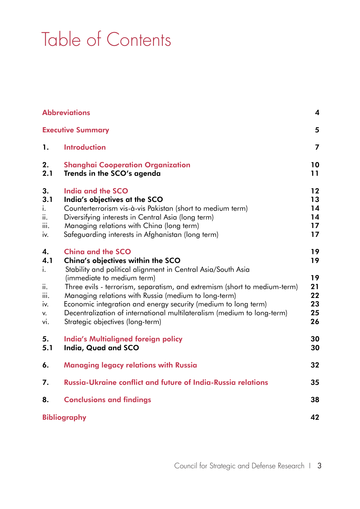# Table of Contents

|                                                    | <b>Abbreviations</b><br>$\overline{\mathbf{4}}$                                                                                                                                                                                                                                                                                                                                                                                                                                   |                                              |  |
|----------------------------------------------------|-----------------------------------------------------------------------------------------------------------------------------------------------------------------------------------------------------------------------------------------------------------------------------------------------------------------------------------------------------------------------------------------------------------------------------------------------------------------------------------|----------------------------------------------|--|
|                                                    | <b>Executive Summary</b>                                                                                                                                                                                                                                                                                                                                                                                                                                                          | 5                                            |  |
| 1.                                                 | <b>Introduction</b>                                                                                                                                                                                                                                                                                                                                                                                                                                                               | $\overline{7}$                               |  |
| 2.<br>2.1                                          | <b>Shanghai Cooperation Organization</b><br>Trends in the SCO's agenda                                                                                                                                                                                                                                                                                                                                                                                                            | 10<br>11                                     |  |
| 3.<br>3.1<br>Ι.<br>ii.<br>Ш.<br>iv.                | <b>India and the SCO</b><br>India's objectives at the SCO<br>Counterterrorism vis-à-vis Pakistan (short to medium term)<br>Diversifying interests in Central Asia (long term)<br>Managing relations with China (long term)<br>Safeguarding interests in Afghanistan (long term)                                                                                                                                                                                                   | $12 \,$<br>13<br>14<br>14<br>17<br>17        |  |
| 4.<br>4.1<br>i.<br>ii.<br>iii.<br>IV.<br>v.<br>vi. | <b>Ching and the SCO</b><br>China's objectives within the SCO<br>Stability and political alignment in Central Asia/South Asia<br>(immediate to medium term)<br>Three evils - terrorism, separatism, and extremism (short to medium-term)<br>Managing relations with Russia (medium to long-term)<br>Economic integration and energy security (medium to long term)<br>Decentralization of international multilateralism (medium to long-term)<br>Strategic objectives (long-term) | 19<br>19<br>19<br>21<br>22<br>23<br>25<br>26 |  |
| 5.<br>5.1                                          | <b>India's Multialigned foreign policy</b><br>India, Quad and SCO                                                                                                                                                                                                                                                                                                                                                                                                                 | 30<br>30                                     |  |
| 6.                                                 | <b>Managing legacy relations with Russia</b>                                                                                                                                                                                                                                                                                                                                                                                                                                      | 32                                           |  |
| 7.                                                 | Russia-Ukraine conflict and future of India-Russia relations                                                                                                                                                                                                                                                                                                                                                                                                                      | 35                                           |  |
| 8.                                                 | <b>Conclusions and findings</b>                                                                                                                                                                                                                                                                                                                                                                                                                                                   | 38                                           |  |
|                                                    | <b>Bibliography</b>                                                                                                                                                                                                                                                                                                                                                                                                                                                               | 42                                           |  |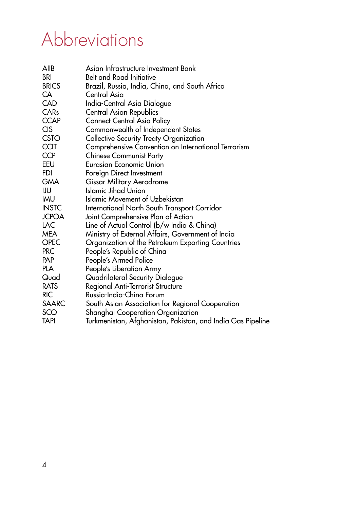### Abbreviations

| <b>AIIB</b>      | Asian Infrastructure Investment Bank                        |
|------------------|-------------------------------------------------------------|
| <b>BRI</b>       | <b>Belt and Road Initiative</b>                             |
| <b>BRICS</b>     | Brazil, Russia, India, China, and South Africa              |
| CA               | Central Asia                                                |
| <b>CAD</b>       | India-Central Asia Dialogue                                 |
| CAR <sub>s</sub> | Central Asian Republics                                     |
| <b>CCAP</b>      | Connect Central Asia Policy                                 |
| <b>CIS</b>       | Commonwealth of Independent States                          |
| <b>CSTO</b>      | <b>Collective Security Treaty Organization</b>              |
| <b>CCIT</b>      | Comprehensive Convention on International Terrorism         |
| <b>CCP</b>       | <b>Chinese Communist Party</b>                              |
| EEU              | <b>Eurasian Economic Union</b>                              |
| <b>FDI</b>       | Foreign Direct Investment                                   |
| <b>GMA</b>       | Gissar Military Aerodrome                                   |
| IJU              | Islamic Jihad Union                                         |
| <b>IMU</b>       | <b>Islamic Movement of Uzbekistan</b>                       |
| <b>INSTC</b>     | International North South Transport Corridor                |
| <b>JCPOA</b>     | Joint Comprehensive Plan of Action                          |
| LAC              | Line of Actual Control (b/w India & China)                  |
| <b>MEA</b>       | Ministry of External Affairs, Government of India           |
| <b>OPEC</b>      | Organization of the Petroleum Exporting Countries           |
| <b>PRC</b>       | People's Republic of China                                  |
| <b>PAP</b>       | People's Armed Police                                       |
| <b>PLA</b>       | People's Liberation Army                                    |
| Quad             | Quadrilateral Security Dialogue                             |
| <b>RATS</b>      | Regional Anti-Terrorist Structure                           |
| <b>RIC</b>       | Russia-India-China Forum                                    |
| <b>SAARC</b>     | South Asian Association for Regional Cooperation            |
| SCO              | Shanghai Cooperation Organization                           |
| <b>TAPI</b>      | Turkmenistan, Afghanistan, Pakistan, and India Gas Pipeline |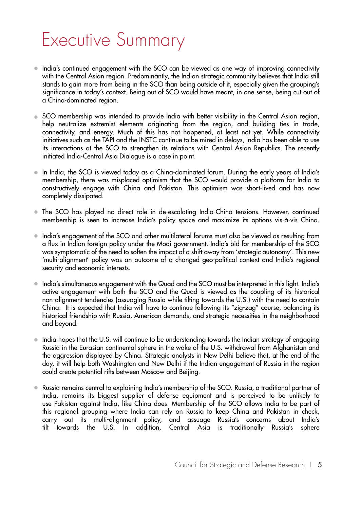### Executive Summary

- India's continued engagement with the SCO can be viewed as one way of improving connectivity with the Central Asian region. Predominantly, the Indian strategic community believes that India still stands to gain more from being in the SCO than being outside of it, especially given the grouping's significance in today's context. Being out of SCO would have meant, in one sense, being cut out of a China-dominated region.
- SCO membership was intended to provide India with better visibility in the Central Asian region, help neutralize extremist elements originating from the region, and building ties in trade, connectivity, and energy. Much of this has not happened, at least not yet. While connectivity initiatives such as the TAPI and the INSTC continue to be mired in delays, India has been able to use its interactions at the SCO to strengthen its relations with Central Asian Republics. The recently initiated India-Central Asia Dialogue is a case in point.
- In India, the SCO is viewed today as a China-dominated forum. During the early years of India's membership, there was misplaced optimism that the SCO would provide a platform for India to constructively engage with China and Pakistan. This optimism was short-lived and has now completely dissipated.
- The SCO has played no direct role in de-escalating India-China tensions. However, continued membership is seen to increase India's policy space and maximize its options vis-à-vis China.
- India's engagement of the SCO and other multilateral forums must also be viewed as resulting from a flux in Indian foreign policy under the Modi government. India's bid for membership of the SCO was symptomatic of the need to soften the impact of a shift away from 'strategic autonomy'. This new 'multi-alignment' policy was an outcome of a changed geo-political context and India's regional security and economic interests.
- India's simultaneous engagement with the Quad and the SCO must be interpreted in this light. India's active engagement with both the SCO and the Quad is viewed as the coupling of its historical non-alignment tendencies (assuaging Russia while tilting towards the U.S.) with the need to contain China. It is expected that India will have to continue following its "zig-zag" course, balancing its historical friendship with Russia, American demands, and strategic necessities in the neighborhood and beyond.
- India hopes that the U.S. will continue to be understanding towards the Indian strategy of engaging  $\bullet$ Russia in the Eurasian continental sphere in the wake of the U.S. withdrawal from Afghanistan and the aggression displayed by China. Strategic analysts in New Delhi believe that, at the end of the day, it will help both Washington and New Delhi if the Indian engagement of Russia in the region could create potential rifts between Moscow and Beijing.
- Russia remains central to explaining India's membership of the SCO. Russia, a traditional partner of India, remains its biggest supplier of defense equipment and is perceived to be unlikely to use Pakistan against India, like China does. Membership of the SCO allows India to be part of this regional grouping where India can rely on Russia to keep China and Pakistan in check, carry out its multi-alignment policy, and assuage Russia's concerns about India's tilt towards the U.S. In addition, Central Asia is traditionally Russia's sphere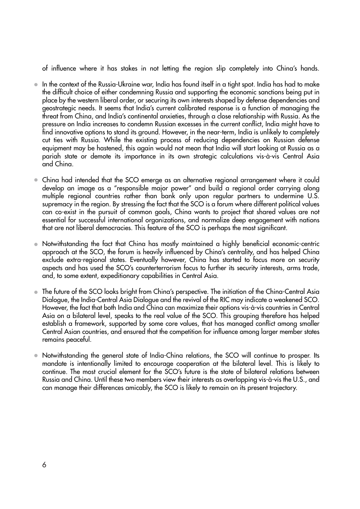of influence where it has stakes in not letting the region slip completely into China's hands.

- $\bullet$  In the context of the Russia-Ukraine war, India has found itself in a tight spot. India has had to make the difficult choice of either condemning Russia and supporting the economic sanctions being put in place by the western liberal order, or securing its own interests shaped by defense dependencies and geostrategic needs. It seems that India's current calibrated response is a function of managing the threat from China, and India's continental anxieties, through a close relationship with Russia. As the pressure on India increases to condemn Russian excesses in the current conflict, India might have to find innovative options to stand its ground. However, in the near-term, India is unlikely to completely cut ties with Russia. While the existing process of reducing dependencies on Russian defense equipment may be hastened, this again would not mean that India will start looking at Russia as a pariah state or demote its importance in its own strategic calculations vis-à-vis Central Asia and China.
- China had intended that the SCO emerge as an alternative regional arrangement where it could develop an image as a "responsible major power" and build a regional order carrying along multiple regional countries rather than bank only upon regular partners to undermine U.S. supremacy in the region. By stressing the fact that the SCO is a forum where different political values can co-exist in the pursuit of common goals, China wants to project that shared values are not essential for successful international organizations, and normalize deep engagement with nations that are not liberal democracies. This feature of the SCO is perhaps the most significant.
- Notwithstanding the fact that China has mostly maintained a highly beneficial economic-centric approach at the SCO, the forum is heavily influenced by China's centrality, and has helped China exclude extra-regional states. Eventually however, China has started to focus more on security aspects and has used the SCO's counterterrorism focus to further its security interests, arms trade, and, to some extent, expeditionary capabilities in Central Asia.
- The future of the SCO looks bright from China's perspective. The initiation of the China-Central Asia Dialogue, the India-Central Asia Dialogue and the revival of the RIC may indicate a weakened SCO. However, the fact that both India and China can maximize their options vis-à-vis countries in Central Asia on a bilateral level, speaks to the real value of the SCO. This grouping therefore has helped establish a framework, supported by some core values, that has managed conflict among smaller Central Asian countries, and ensured that the competition for influence among larger member states remains peaceful.
- Notwithstanding the general state of India-China relations, the SCO will continue to prosper. Its mandate is intentionally limited to encourage cooperation at the bilateral level. This is likely to continue. The most crucial element for the SCO's future is the state of bilateral relations between Russia and China. Until these two members view their interests as overlapping vis-à-vis the U.S., and can manage their differences amicably, the SCO is likely to remain on its present trajectory.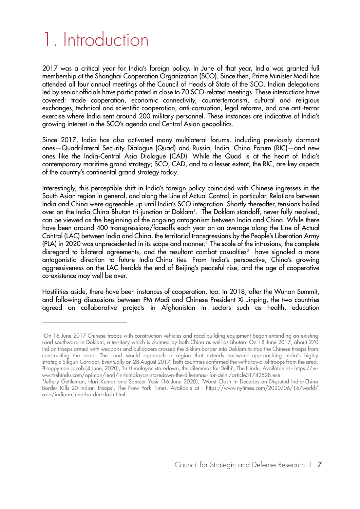## 1. Introduction

2017 was a critical year for India's foreign policy. In June of that year, India was granted full membership at the Shanghai Cooperation Organization (SCO). Since then, Prime Minister Modi has attended all four annual meetings of the Council of Heads of State of the SCO. Indian delegations led by senior officials have participated in close to 70 SCO-related meetings. These interactions have covered: trade cooperation, economic connectivity, counterterrorism, cultural and religious exchanges, technical and scientific cooperation, anti-corruption, legal reforms, and one anti-terror exercise where India sent around 200 military personnel. These instances are indicative of India's growing interest in the SCO's agenda and Central Asian geopolitics.

Since 2017, India has also activated many multilateral forums, including previously dormant ones—Quadrilateral Security Dialogue (Quad) and Russia, India, China Forum (RIC)—and new ones like the India-Central Asia Dialogue (CAD). While the Quad is at the heart of India's contemporary maritime grand strategy; SCO, CAD, and to a lesser extent, the RIC, are key aspects of the country's continental grand strategy today.

Interestingly, this perceptible shift in India's foreign policy coincided with Chinese ingresses in the South Asian region in general, and along the Line of Actual Control, in particular. Relations between India and China were agreeable up until India's SCO integration. Shortly thereafter, tensions boiled over on the India-China-Bhutan tri-junction at Doklam1. The Doklam standoff, never fully resolved, can be viewed as the beginning of the ongoing antagonism between India and China. While there have been around 400 transgressions/faceoffs each year on an average along the Line of Actual Control (LAC) between India and China, the territorial transgressions by the People's Liberation Army (PLA) in 2020 was unprecedented in its scope and manner.<sup>2</sup> The scale of the intrusions, the complete disregard to bilateral agreements, and the resultant combat casualties<sup>3</sup> have signaled a more antagonistic direction to future India-China ties. From India's perspective, China's growing aggressiveness on the LAC heralds the end of Beijing's peaceful rise, and the age of cooperative co-existence may well be over.

Hostilities aside, there have been instances of cooperation, too. In 2018, after the Wuhan Summit, and following discussions between PM Modi and Chinese President Xi Jinping, the two countries agreed on collaborative projects in Afghanistan in sectors such as health, education

<sup>1</sup>On 16 June 2017 Chinese troops with construction vehicles and road-building equipment began extending an existing road southward in Doklam, a territory which is claimed by both China as well as Bhutan. On 18 June 2017, about 270 Indian troops armed with weapons and bulldozers crossed the Sikkim border into Doklam to stop the Chinese troops from constructing the road. The road would approach a region that extends eastward approaching India's highly strategic Siliguri Corridor. Eventually on 28 August 2017, both countries confirmed the withdrawal of troops from the area. 2Happymon Jacob (4 June, 2020), 'In Himalayan staredown, the dilemmas for Delhi', The Hindu. Available at - https://www.thehindu.com/opinion/lead/in-himalayan-staredown-the-dilemmas- for-delhi/article31742528.ece

<sup>3</sup>Jeffery Gettleman, Hari Kumar and Sameer Yasir (16 June 2020), 'Worst Clash in Decades on Disputed India-China Border Kills 20 Indian Troops', The New York Times. Available at - https://www.nytimes.com/2020/06/16/world/ asia/indian-china-border-clash.html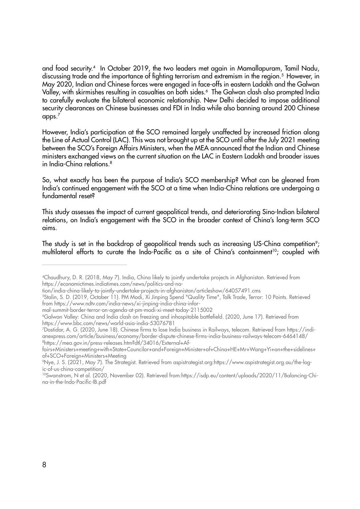and food security.4 In October 2019, the two leaders met again in Mamallapuram, Tamil Nadu, discussing trade and the importance of fighting terrorism and extremism in the region.<sup>5</sup> However, in May 2020, Indian and Chinese forces were engaged in face-offs in eastern Ladakh and the Galwan Valley, with skirmishes resulting in casualties on both sides.<sup>6</sup> The Galwan clash also prompted India to carefully evaluate the bilateral economic relationship. New Delhi decided to impose additional security clearances on Chinese businesses and FDI in India while also banning around 200 Chinese apps. $^7$ 

However, India's participation at the SCO remained largely unaffected by increased friction along the Line of Actual Control (LAC). This was not brought up at the SCO until after the July 2021 meeting between the SCO's Foreign Affairs Ministers, when the MEA announced that the Indian and Chinese ministers exchanged views on the current situation on the LAC in Eastern Ladakh and broader issues in India-China relations.8

So, what exactly has been the purpose of India's SCO membership? What can be gleaned from India's continued engagement with the SCO at a time when India-China relations are undergoing a fundamental reset?

This study assesses the impact of current geopolitical trends, and deteriorating Sino-Indian bilateral relations, on India's engagement with the SCO in the broader context of China's long-term SCO aims.

The study is set in the backdrop of geopolitical trends such as increasing US-China competition<sup>9</sup>; multilateral efforts to curate the Indo-Pacific as a site of China's containment<sup>10</sup>; coupled with

mal-summit-border-terror-on-agenda-at-pm-modi-xi-meet-today-2115002

<sup>4</sup>Chaudhury, D. R. (2018, May 7). India, China likely to jointly undertake projects in Afghanistan. Retrieved from https://economictimes.indiatimes.com/news/politics-and-na-

tion/india-china-likely-to-jointly-undertake-projects-in-afghanistan/articleshow/64057491.cms

<sup>5</sup>Stalin, S. D. (2019, October 11). PM Modi, Xi Jinping Spend "Quality Time", Talk Trade, Terror: 10 Points. Retrieved from https://www.ndtv.com/india-news/xi-jinping-india-china-infor-

<sup>6</sup>Galwan Valley: China and India clash on freezing and inhospitable battlefield. (2020, June 17). Retrieved from https://www.bbc.com/news/world-asia-india-53076781

<sup>7</sup>Dastidar, A. G. (2020, June 18). Chinese firms to lose India business in Railways, telecom. Retrieved from https://indianexpress.com/article/business/economy/border-dispute-chinese-firms-india-business-railways-telecom-6464148/ 8https://mea.gov.in/press-releases.htm?dtl/34016/External+Af-

fairs+Ministers+meeting+with+State+Councilor+and+Foreign+Minister+of+China+HE+Mr+Wang+Yi+on+the+sidelines+ of+SCO+Foreign+Ministers+Meeting

<sup>9</sup>Nye, J. S. (2021, May 7). The Strategist. Retrieved from aspistrategist.org:https://www.aspistrategist.org.au/the-logic-of-us-china-competition/

<sup>10</sup>Swanstrom, N et al. (2020, November 02). Retrieved from:https://isdp.eu/content/uploads/2020/11/Balancing-China-in-the-Indo-Pacific-IB.pdf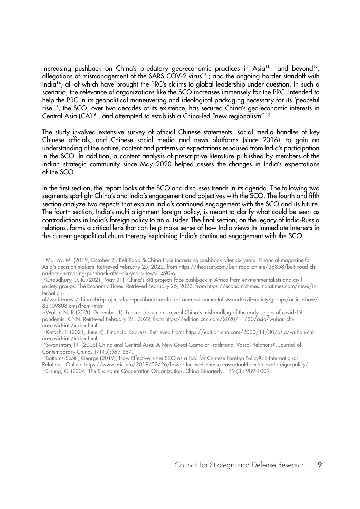increasing pushback on China's predatory geo-economic practices in Asia<sup>11</sup> and beyond<sup>12</sup>; allegations of mismanagement of the SARS COV-2 virus<sup>13</sup>; and the ongoing border standoff with India14; all of which have brought the PRC's claims to global leadership under question. In such a scenario, the relevance of organizations like the SCO increases immensely for the PRC. Intended to help the PRC in its geopolitical maneuvering and ideological packaging necessary for its 'peaceful rise'15, the SCO, over two decades of its existence, has secured China's geo-economic interests in Central Asia (CA)16 , and attempted to establish a China-led "new regionalism".17

The study involved extensive survey of official Chinese statements, social media handles of key Chinese officials, and Chinese social media and news platforms (since 2016), to gain an understanding of the nature, content and patterns of expectations espoused from India's participation in the SCO. In addition, a content analysis of prescriptive literature published by members of the Indian strategic community since May 2020 helped assess the changes in India's expectations of the SCO.

In the first section, the report looks at the SCO and discusses trends in its agenda. The following two segments spotlight China's and India's engagement and objectives with the SCO. The fourth and fifth section analyze two aspects that explain India's continued engagement with the SCO and its future. The fourth section, India's multi-alignment foreign policy, is meant to clarify what could be seen as contradictions in India's foreign policy to an outsider. The final section, on the legacy of India-Russia relations, forms a critical lens that can help make sense of how India views its immediate interests in the current geopolitical churn thereby explaining India's continued engagement with the SCO.

<sup>11</sup>Marray, M. (2019, October 2). Belt Road & China Face increasing pushback after six years. Financial magazine for Asia's decision makers. Retrieved February 25, 2022, from https://theasset.com/belt-road-online/38858/belt-road-china-face-increasing-pushback-after-six-years-news-1490-o

<sup>&</sup>lt;sup>12</sup>Chaudhury, D. R. (2021, May 31). China's BRI projects face pushback in Africa from environmentalists and civil society groups. The Economic Times. Retrieved February 25, 2022, from https://economictimes.indiatimes.com/news/internation-

al/world-news/chinas-bri-projects-face-pushback-in-africa-from-environmentalists-and-civil-society-groups/articleshow/ 83109808.cms?from=mdr

<sup>13</sup>Walsh, N. P. (2020, December 1). Leaked documents reveal China's mishandling of the early stages of covid-19 pandemic. CNN. Retrieved February 21, 2022, from https://edition.cnn.com/2020/11/30/asia/wuhan-china-covid-intl/index.html

<sup>14</sup>Katoch, P. (2021, June 4). Financial Express. Retrieved from: https://edition.cnn.com/2020/11/30/asia/wuhan-china-covid-intl/index.html

<sup>&</sup>lt;sup>15</sup>Swanstrom, N. (2005) China and Central Asia: A New Great Game or Traditional Vassal Relations?, Journal of Contemporary China, 14(45):569-584.

<sup>&</sup>lt;sup>16</sup>Battams-Scott, George (2019), How Effective Is the SCO as a Tool for Chinese Foreign Policy?, E-International Relations. Online: https://www.e-ir.info/2019/02/26/how-effective-is-the-sco-as-a-tool-for-chinese-foreign-policy/ 17Chung, C. (2004) The Shanghai Cooperation Organization, China Quarterly, 179 (3): 989-1009.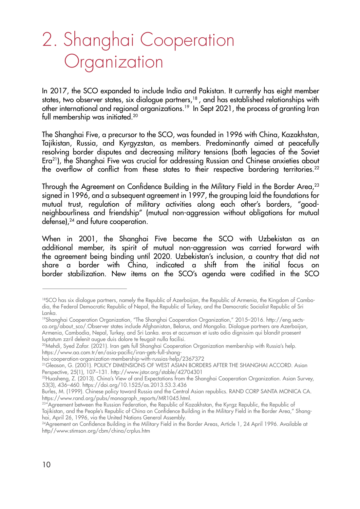### 2. Shanghai Cooperation **Organization**

In 2017, the SCO expanded to include India and Pakistan. It currently has eight member states, two observer states, six dialogue partners,<sup>18</sup>, and has established relationships with other international and regional organizations.<sup>19</sup> In Sept 2021, the process of granting Iran full membership was initiated.20

The Shanghai Five, a precursor to the SCO, was founded in 1996 with China, Kazakhstan, Tajikistan, Russia, and Kyrgyzstan, as members. Predominantly aimed at peacefully resolving border disputes and decreasing military tensions (both legacies of the Soviet Era21), the Shanghai Five was crucial for addressing Russian and Chinese anxieties about the overflow of conflict from these states to their respective bordering territories.<sup>22</sup>

Through the Agreement on Confidence Building in the Military Field in the Border Area,<sup>23</sup> signed in 1996, and a subsequent agreement in 1997, the grouping laid the foundations for mutual trust, regulation of military activities along each other's borders, "goodneighbourliness and friendship" (mutual non-aggression without obligations for mutual defense),<sup>24</sup> and future cooperation.

When in 2001, the Shanghai Five became the SCO with Uzbekistan as an additional member, its spirit of mutual non-aggression was carried forward with the agreement being binding until 2020. Uzbekistan's inclusion, a country that did not share a border with China, indicated a shift from the initial focus on border stabilization. New items on the SCO's agenda were codified in the SCO

<sup>&</sup>lt;sup>18</sup>SCO has six dialogue partners, namely the Republic of Azerbaijan, the Republic of Armenia, the Kingdom of Cambodia, the Federal Democratic Republic of Nepal, the Republic of Turkey, and the Democratic Socialist Republic of Sri Lanka.

<sup>19</sup>Shanghai Cooperation Organization, "The Shanghai Cooperation Organization," 2015–2016. http://eng.sectsco.org/about\_sco/.Observer states include Afghanistan, Belarus, and Mongolia. Dialogue partners are Azerbaijan, Armenia, Cambodia, Nepal, Turkey, and Sri Lanka. eros et accumsan et iusto odio dignissim qui blandit praesent luptatum zzril delenit augue duis dolore te feugait nulla facilisi.

<sup>20</sup>Mehdi, Syed Zafar. (2021). Iran gets full Shanghai Cooperation Organization membership with Russia's help. https://www.aa.com.tr/en/asia-pacific/iran-gets-full-shang-

hai-cooperation-organization-membership-with-russias-help/2367372

<sup>21</sup>Gleason, G. (2001). POLICY DIMENSIONS OF WEST ASIAN BORDERS AFTER THE SHANGHAI ACCORD. Asian Perspective, 25(1), 107–131. http://www.jstor.org/stable/42704301

<sup>22</sup>Huasheng, Z. (2013). China's View of and Expectations from the Shanghai Cooperation Organization. Asian Survey, 53(3), 436–460. https://doi.org/10.1525/as.2013.53.3.436

Burles, M. (1999). Chinese policy toward Russia and the Central Asian republics. RAND CORP SANTA MONICA CA. https://www.rand.org/pubs/monograph\_reports/MR1045.html.

<sup>&</sup>lt;sup>23"</sup>Agreement between the Russian Federation, the Republic of Kazakhstan, the Kyrgz Republic, the Republic of Tajikistan, and the People's Republic of China on Confidence Building in the Military Field in the Border Area," Shanghai, April 26, 1996, via the United Nations General Assembly.

<sup>&</sup>lt;sup>24</sup>Agreement on Confidence Building in the Military Field in the Border Areas, Article 1, 24 April 1996. Available at http//www.stimson.org/cbm/china/crplus.htm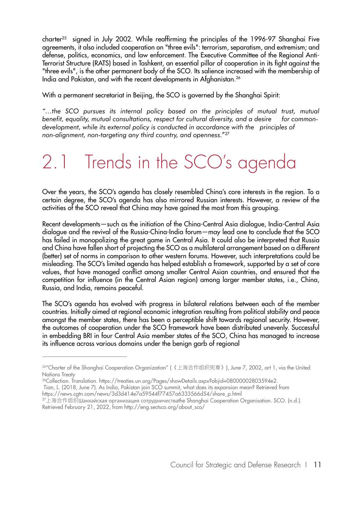charter<sup>25</sup> signed in July 2002. While reaffirming the principles of the 1996-97 Shanghai Five agreements, it also included cooperation on "three evils": terrorism, separatism, and extremism; and defense, politics, economics, and law enforcement. The Executive Committee of the Regional Anti-Terrorist Structure (RATS) based in Tashkent, an essential pillar of cooperation in its fight against the "three evils", is the other permanent body of the SCO. Its salience increased with the membership of India and Pakistan, and with the recent developments in Afghanistan.26

With a permanent secretariat in Beijing, the SCO is governed by the Shanghai Spirit:

*"…the SCO pursues its internal policy based on the principles of mutual trust, mutual*  benefit, equality, mutual consultations, respect for cultural diversity, and a desire for common*development, while its external policy is conducted in accordance with the principles of non-alignment, non-targeting any third country, and openness.*"27

### 2.1 Trends in the SCO's agenda

Over the years, the SCO's agenda has closely resembled China's core interests in the region. To a certain degree, the SCO's agenda has also mirrored Russian interests. However, a review of the activities of the SCO reveal that China may have gained the most from this grouping.

Recent developments—such as the initiation of the China-Central Asia dialogue, India-Central Asia dialogue and the revival of the Russia-China-India forum—may lead one to conclude that the SCO has failed in monopolizing the great game in Central Asia. It could also be interpreted that Russia and China have fallen short of projecting the SCO as a multilateral arrangement based on a different (better) set of norms in comparison to other western forums. However, such interpretations could be misleading. The SCO's limited agenda has helped establish a framework, supported by a set of core values, that have managed conflict among smaller Central Asian countries, and ensured that the competition for influence (in the Central Asian region) among larger member states, i.e., China, Russia, and India, remains peaceful.

The SCO's agenda has evolved with progress in bilateral relations between each of the member countries. Initially aimed at regional economic integration resulting from political stability and peace amongst the member states, there has been a perceptible shift towards regional security. However, the outcomes of cooperation under the SCO framework have been distributed unevenly. Successful in embedding BRI in four Central Asia member states of the SCO, China has managed to increase its influence across various domains under the benign garb of regional

<sup>25&</sup>quot;Charter of the Shanghai Cooperation Organization" (《上海合作组织宪章》), June 7, 2002, art 1, via the United Nations Treaty

<sup>&</sup>lt;sup>26</sup>Collection. Translation. https://treaties.un.org/Pages/showDetails.aspx?objid=08000002803594e2.

Tian, L. (2018, June 7). As India, Pakistan join SCO summit, what does its expansion mean? Retrieved from

https://news.cgtn.com/news/3d3d414e7a59544f77457a6333566d54/share\_p.html

 $27$ 上海合作组织Шанхайская организация сотрудничестваthe Shanghai Cooperation Organisation. SCO. (n.d.). Retrieved February 21, 2022, from http://eng.sectsco.org/about\_sco/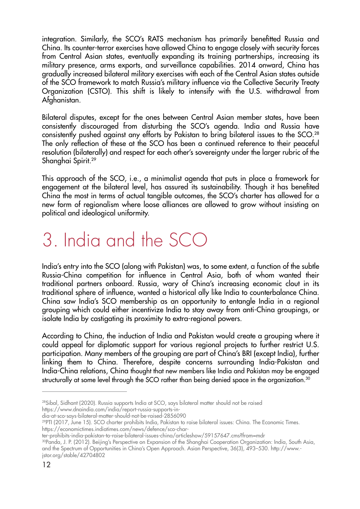integration. Similarly, the SCO's RATS mechanism has primarily benefitted Russia and China. Its counter-terror exercises have allowed China to engage closely with security forces from Central Asian states, eventually expanding its training partnerships, increasing its military presence, arms exports, and surveillance capabilities. 2014 onward, China has gradually increased bilateral military exercises with each of the Central Asian states outside of the SCO framework to match Russia's military influence via the Collective Security Treaty Organization (CSTO). This shift is likely to intensify with the U.S. withdrawal from Afghanistan.

Bilateral disputes, except for the ones between Central Asian member states, have been consistently discouraged from disturbing the SCO's agenda. India and Russia have consistently pushed against any efforts by Pakistan to bring bilateral issues to the SCO.28 The only reflection of these at the SCO has been a continued reference to their peaceful resolution (bilaterally) and respect for each other's sovereignty under the larger rubric of the Shanghai Spirit.29

This approach of the SCO, i.e., a minimalist agenda that puts in place a framework for engagement at the bilateral level, has assured its sustainability. Though it has benefited China the most in terms of actual tangible outcomes, the SCO's charter has allowed for a new form of regionalism where loose alliances are allowed to grow without insisting on political and ideological uniformity.

## 3. India and the SCO

India's entry into the SCO (along with Pakistan) was, to some extent, a function of the subtle Russia-China competition for influence in Central Asia, both of whom wanted their traditional partners onboard. Russia, wary of China's increasing economic clout in its traditional sphere of influence, wanted a historical ally like India to counterbalance China. China saw India's SCO membership as an opportunity to entangle India in a regional grouping which could either incentivize India to stay away from anti-China groupings, or isolate India by castigating its proximity to extra-regional powers.

According to China, the induction of India and Pakistan would create a grouping where it could appeal for diplomatic support for various regional projects to further restrict U.S. participation. Many members of the grouping are part of China's BRI (except India), further linking them to China. Therefore, despite concerns surrounding India-Pakistan and India-China relations, China thought that new members like India and Pakistan may be engaged structurally at some level through the SCO rather than being denied space in the organization.<sup>30</sup>

dia-at-sco-says-bilateral-matter-should-not-be-raised-2856090

ter-prohibits-india-pakistan-to-raise-bilateral-issues-china/articleshow/59157647.cms?from=mdr

30Panda, J. P. (2012). Beijing's Perspective on Expansion of the Shanghai Cooperation Organization: India, South Asia, and the Spectrum of Opportunities in China's Open Approach. Asian Perspective, 36(3), 493–530. http://www. jstor.org/stable/42704802

<sup>28</sup>Sibal, Sidhant (2020). Russia supports India at SCO, says bilateral matter should not be raised https://www.dnaindia.com/india/report-russia-supports-in-

<sup>29</sup>PTI (2017, June 15). SCO charter prohibits India, Pakistan to raise bilateral issues: China. The Economic Times. https://economictimes.indiatimes.com/news/defence/sco-char-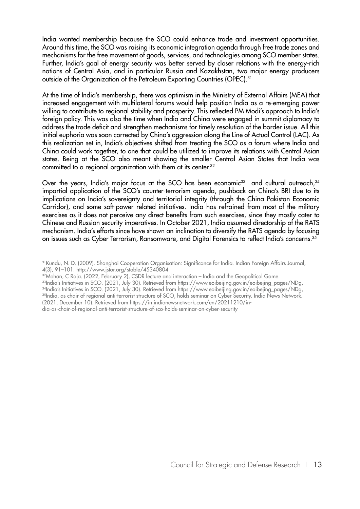India wanted membership because the SCO could enhance trade and investment opportunities. Around this time, the SCO was raising its economic integration agenda through free trade zones and mechanisms for the free movement of goods, services, and technologies among SCO member states. Further, India's goal of energy security was better served by closer relations with the energy-rich nations of Central Asia, and in particular Russia and Kazakhstan, two major energy producers outside of the Organization of the Petroleum Exporting Countries (OPEC).<sup>31</sup>

At the time of India's membership, there was optimism in the Ministry of External Affairs (MEA) that increased engagement with multilateral forums would help position India as a re-emerging power willing to contribute to regional stability and prosperity. This reflected PM Modi's approach to India's foreign policy. This was also the time when India and China were engaged in summit diplomacy to address the trade deficit and strengthen mechanisms for timely resolution of the border issue. All this initial euphoria was soon corrected by China's aggression along the Line of Actual Control (LAC). As this realization set in, India's objectives shifted from treating the SCO as a forum where India and China could work together, to one that could be utilized to improve its relations with Central Asian states. Being at the SCO also meant showing the smaller Central Asian States that India was committed to a regional organization with them at its center.<sup>32</sup>

Over the years, India's major focus at the SCO has been economic<sup>33</sup> and cultural outreach,<sup>34</sup> impartial application of the SCO's counter-terrorism agenda, pushback on China's BRI due to its implications on India's sovereignty and territorial integrity (through the China Pakistan Economic Corridor), and some soft-power related initiatives. India has refrained from most of the military exercises as it does not perceive any direct benefits from such exercises, since they mostly cater to Chinese and Russian security imperatives. In October 2021, India assumed directorship of the RATS mechanism. India's efforts since have shown an inclination to diversify the RATS agenda by focusing on issues such as Cyber Terrorism, Ransomware, and Digital Forensics to reflect India's concerns.35

- 32Mohan, C Raja. (2022, February 2), CSDR lecture and interaction India and the Geopolitical Game.
- 33India's Initiatives in SCO. (2021, July 30). Retrieved from https://www.eoibeijing.gov.in/eoibeijing\_pages/NDg, 34India's Initiatives in SCO. (2021, July 30). Retrieved from https://www.eoibeijing.gov.in/eoibejing\_pages/NDg, 35India, as chair of regional anti-terrorist structure of SCO, holds seminar on Cyber Security. India News Network. (2021, December 10). Retrieved from https://in.indianewsnetwork.com/en/20211210/in-
- dia-as-chair-of-regional-anti-terrorist-structure-of-sco-holds-seminar-on-cyber-security

<sup>&</sup>lt;sup>31</sup> Kundu, N. D. (2009). Shanghai Cooperation Organisation: Significance for India. Indian Foreign Affairs Journal, 4(3), 91–101. http://www.jstor.org/stable/45340804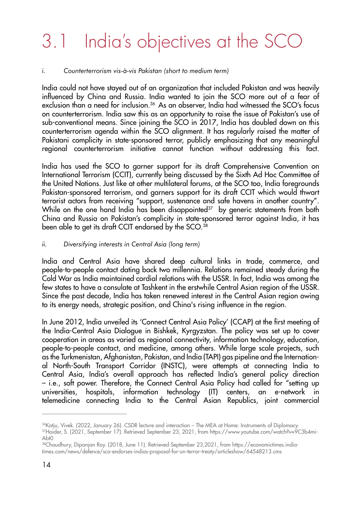## 3.1 India's objectives at the SCO

#### *i. Counterterrorism vis-à-vis Pakistan (short to medium term)*

India could not have stayed out of an organization that included Pakistan and was heavily influenced by China and Russia. India wanted to join the SCO more out of a fear of exclusion than a need for inclusion.<sup>36</sup> As an observer, India had witnessed the SCO's focus on counterterrorism. India saw this as an opportunity to raise the issue of Pakistan's use of sub-conventional means. Since joining the SCO in 2017, India has doubled down on this counterterrorism agenda within the SCO alignment. It has regularly raised the matter of Pakistani complicity in state-sponsored terror, publicly emphasizing that any meaningful regional counterterrorism initiative cannot function without addressing this fact.

India has used the SCO to garner support for its draft Comprehensive Convention on International Terrorism (CCIT), currently being discussed by the Sixth Ad Hoc Committee of the United Nations. Just like at other multilateral forums, at the SCO too, India foregrounds Pakistan-sponsored terrorism, and garners support for its draft CCIT which would thwart terrorist actors from receiving "support, sustenance and safe havens in another country". While on the one hand India has been disappointed<sup>37</sup> by generic statements from both China and Russia on Pakistan's complicity in state-sponsored terror against India, it has been able to get its draft CCIT endorsed by the SCO.<sup>38</sup>

#### *ii. Diversifying interests in Central Asia (long term)*

India and Central Asia have shared deep cultural links in trade, commerce, and people-to-people contact dating back two millennia. Relations remained steady during the Cold War as India maintained cordial relations with the USSR. In fact, India was among the few states to have a consulate at Tashkent in the erstwhile Central Asian region of the USSR. Since the past decade, India has taken renewed interest in the Central Asian region owing to its energy needs, strategic position, and China's rising influence in the region.

In June 2012, India unveiled its 'Connect Central Asia Policy' (CCAP) at the first meeting of the India-Central Asia Dialogue in Bishkek, Kyrgyzstan. The policy was set up to cover cooperation in areas as varied as regional connectivity, information technology, education, people-to-people contact, and medicine, among others. While large scale projects, such as the Turkmenistan, Afghanistan, Pakistan, and India (TAPI) gas pipeline and the International North-South Transport Corridor (INSTC), were attempts at connecting India to Central Asia, India's overall approach has reflected India's general policy direction – i.e., soft power. Therefore, the Connect Central Asia Policy had called for "setting up universities, hospitals, information technology (IT) centers, an e-network in telemedicine connecting India to the Central Asian Republics, joint commercial

<sup>36</sup>Katju, Vivek. (2022, January 26). CSDR lecture and interaction – The MEA at Home: Instruments of Diplomacy. <sup>37</sup>Haider, S. (2021, September 17). Retrieved September 23, 2021, from https://www.youtube.com/watch?v=9C3b4mi-Abt0

<sup>38</sup>Chaudhury, Dipanjan Roy. (2018, June 11). Retrieved September 23,2021, from https://economictimes.indiatimes.com/news/defence/sco-endorses-indias-proposal-for-un-terror-treaty/articleshow/64548213.cms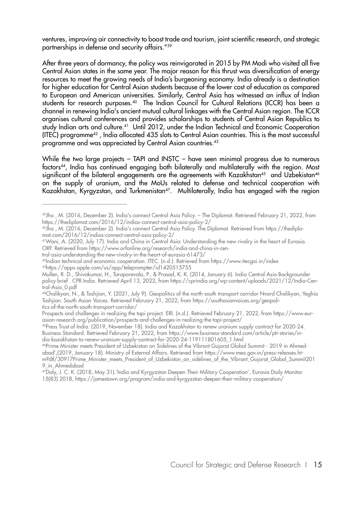ventures, improving air connectivity to boost trade and tourism, joint scientific research, and strategic partnerships in defense and security affairs."39

After three years of dormancy, the policy was reinvigorated in 2015 by PM Modi who visited all five Central Asian states in the same year. The major reason for this thrust was diversification of energy resources to meet the growing needs of India's burgeoning economy. India already is a destination for higher education for Central Asian students because of the lower cost of education as compared to European and American universities. Similarly, Central Asia has witnessed an influx of Indian students for research purposes.<sup>40</sup> The Indian Council for Cultural Relations (ICCR) has been a channel in renewing India's ancient mutual cultural linkages with the Central Asian region. The ICCR organises cultural conferences and provides scholarships to students of Central Asian Republics to study Indian arts and culture.<sup>41</sup> Until 2012, under the Indian Technical and Economic Cooperation (ITEC) programme42 , India allocated 435 slots to Central Asian countries. This is the most successful programme and was appreciated by Central Asian countries.<sup>43</sup>

While the two large projects - TAPI and INSTC - have seen minimal progress due to numerous factors<sup>44</sup>, India has continued engaging both bilaterally and multilaterally with the region. Most significant of the bilateral engagements are the agreements with Kazakhstan<sup>45</sup> and Uzbekistan<sup>46</sup> on the supply of uranium, and the MoUs related to defense and technical cooperation with Kazakhstan, Kyrgyzstan, and Turkmenistan<sup>47</sup>. Multilaterally, India has engaged with the region

<sup>39</sup>Jha , M. (2016, December 2). India's connect Central Asia Policy. – The Diplomat. Retrieved February 21, 2022, from https://thediplomat.com/2016/12/indias-connect-central-asia-policy-2/

<sup>40</sup>Jha , M. (2016, December 2). India's connect Central Asia Policy. The Diplomat. Retrieved from https://thediplomat.com/2016/12/indias-connect-central-asia-policy-2/

<sup>41</sup>Wani, A. (2020, July 17). India and China in Central Asia: Understanding the new rivalry in the heart of Eurasia. ORF. Retrieved from https://www.orfonline.org/research/india-and-china-in-cen-

tral-asia-understanding-the-new-rivalry-in-the-heart-of-eurasia-61473/

<sup>42</sup>Indian technical and economic cooperation. ITEC. (n.d.). Retrieved from https://www.itecgoi.in/index 43https://apps.apple.com/us/app/teleprompter/id1420515755

Mullen, R. D., Shivakumar, H., Taraporevala, P., & Prasad, K. K. (2014, January 6). India Central Asia Backgrounder policy brief . CPR India. Retrieved April 13, 2022, from https://cprindia.org/wp-content/uploads/2021/12/India-Central-Asia\_0.pdf

<sup>44</sup>Chalikyan, N., & Tashjian, Y. (2021, July 9). Geopolitics of the north-south transport corridor Nvard Chalikyan, Yeghia Tashjian. South Asian Voices. Retrieved February 21, 2022, from https://southasianvoices.org/geopolitics-of-the-north-south-transport-corridor/

Prospects and challenges in realizing the tapi project. ERI. (n.d.). Retrieved February 21, 2022, from https://www.eurasian-research.org/publication/prospects-and-challenges-in-realizing-the-tapi-project/

<sup>45</sup>Press Trust of India. (2019, November 18). India and Kazakhstan to renew uranium supply contract for 2020-24. Business Standard. Retrieved February 21, 2022, from https://www.business-standard.com/article/pti-stories/india-kazakhstan-to-renew-uranium-supply-contract-for-2020-24-119111801605\_1.html

<sup>46</sup>Prime Minister meets President of Uzbekistan on Sidelines of the Vibrant Gujarat Global Summit - 2019 in Ahmedabad',(2019, January 18). Ministry of External Affairs. Retrieved from https://www.mea.gov.in/press-releases.htm?dtl/30917Prime\_Minister\_meets\_President\_of\_Uzbekistan\_on\_sidelines\_of\_the\_Vibrant\_Gujarat\_Global\_Summit201 9\_in\_Ahmedabad

<sup>47</sup>Daly, J. C. K. (2018, May 31).'India and Kyrgyzstan Deepen Their Military Cooperation', Eurasia Daily Monitor 15(83) 2018, https://jamestown.org/program/india-and-kyrgyzstan-deepen-their-military-cooperation/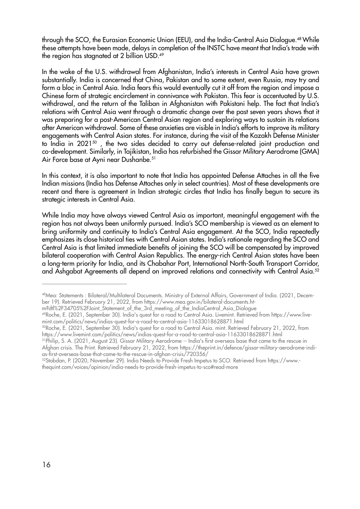through the SCO, the Eurasian Economic Union (EEU), and the India-Central Asia Dialogue.48 While these attempts have been made, delays in completion of the INSTC have meant that India's trade with the region has stagnated at 2 billion USD.49

In the wake of the U.S. withdrawal from Afghanistan, India's interests in Central Asia have grown substantially. India is concerned that China, Pakistan and to some extent, even Russia, may try and form a bloc in Central Asia. India fears this would eventually cut it off from the region and impose a Chinese form of strategic encirclement in connivance with Pakistan. This fear is accentuated by U.S. withdrawal, and the return of the Taliban in Afghanistan with Pakistani help. The fact that India's relations with Central Asia went through a dramatic change over the past seven years shows that it was preparing for a post-American Central Asian region and exploring ways to sustain its relations after American withdrawal. Some of these anxieties are visible in India's efforts to improve its military engagements with Central Asian states. For instance, during the visit of the Kazakh Defense Minister to India in 2021<sup>50</sup>, the two sides decided to carry out defense-related joint production and co-development. Similarly, in Tajikistan, India has refurbished the Gissar Military Aerodrome (GMA) Air Force base at Ayni near Dushanbe.<sup>51</sup>

In this context, it is also important to note that India has appointed Defense Attaches in all the five Indian missions (India has Defense Attaches only in select countries). Most of these developments are recent and there is agreement in Indian strategic circles that India has finally begun to secure its strategic interests in Central Asia.

While India may have always viewed Central Asia as important, meaningful engagement with the region has not always been uniformly pursued. India's SCO membership is viewed as an element to bring uniformity and continuity to India's Central Asia engagement. At the SCO, India repeatedly emphasizes its close historical ties with Central Asian states. India's rationale regarding the SCO and Central Asia is that limited immediate benefits of joining the SCO will be compensated by improved bilateral cooperation with Central Asian Republics. The energy-rich Central Asian states have been a long-term priority for India, and its Chabahar Port, International North-South Transport Corridor, and Ashgabat Agreements all depend on improved relations and connectivity with Central Asia.<sup>52</sup>

m?dtl%2F34705%2FJoint\_Statement\_of\_the\_3rd\_meeting\_of\_the\_IndiaCentral\_Asia\_Dialogue

51Philip, S. A. (2021, August 23). Gissar Military Aerodrome -- India's first overseas base that came to the rescue in Afghan crisis. The Print. Retrieved February 21, 2022, from https://theprint.in/defence/gissar-military-aerodrome-indias-first-overseas-base-that-came-to-the-rescue-in-afghan-crisis/720356/

<sup>48</sup>Mea: Statements : Bilateral/Multilateral Documents. Ministry of External Affairs, Government of India. (2021, December 19). Retrieved February 21, 2022, from https://www.mea.gov.in/bilateral-documents.ht-

<sup>49</sup>Roche, E. (2021, September 30). India's quest for a road to Central Asia. Livemint. Retrieved from https://www.livemint.com/politics/news/indias-quest-for-a-road-to-central-asia-11633018628871.html

<sup>50</sup>Roche, E. (2021, September 30). India's quest for a road to Central Asia. mint. Retrieved February 21, 2022, from https://www.livemint.com/politics/news/indias-quest-for-a-road-to-central-asia-11633018628871.html

<sup>52</sup>Stobdan, P. (2020, November 29). India Needs to Provide Fresh Impetus to SCO. Retrieved from https://www. thequint.com/voices/opinion/india-needs-to-provide-fresh-impetus-to-sco#read-more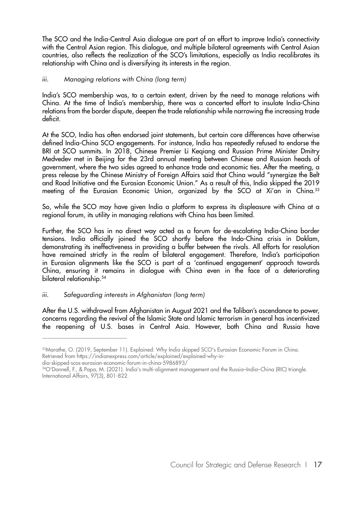The SCO and the India-Central Asia dialogue are part of an effort to improve India's connectivity with the Central Asian region. This dialogue, and multiple bilateral agreements with Central Asian countries, also reflects the realization of the SCO's limitations, especially as India recalibrates its relationship with China and is diversifying its interests in the region.

#### *iii. Managing relations with China (long term)*

India's SCO membership was, to a certain extent, driven by the need to manage relations with China. At the time of India's membership, there was a concerted effort to insulate India-China relations from the border dispute, deepen the trade relationship while narrowing the increasing trade deficit.

At the SCO, India has often endorsed joint statements, but certain core differences have otherwise defined India-China SCO engagements. For instance, India has repeatedly refused to endorse the BRI at SCO summits. In 2018, Chinese Premier Li Keqiang and Russian Prime Minister Dmitry Medvedev met in Beijing for the 23rd annual meeting between Chinese and Russian heads of government, where the two sides agreed to enhance trade and economic ties. After the meeting, a press release by the Chinese Ministry of Foreign Affairs said that China would "synergize the Belt and Road Initiative and the Eurasian Economic Union." As a result of this, India skipped the 2019 meeting of the Eurasian Economic Union, organized by the SCO at Xi'an in China.<sup>53</sup>

So, while the SCO may have given India a platform to express its displeasure with China at a regional forum, its utility in managing relations with China has been limited.

Further, the SCO has in no direct way acted as a forum for de-escalating India-China border tensions. India officially joined the SCO shortly before the Indo-China crisis in Doklam, demonstrating its ineffectiveness in providing a buffer between the rivals. All efforts for resolution have remained strictly in the realm of bilateral engagement. Therefore, India's participation in Eurasian alignments like the SCO is part of a 'continued engagement' approach towards China, ensuring it remains in dialogue with China even in the face of a deteriorating bilateral relationship.<sup>54</sup>

#### *iii. Safeguarding interests in Afghanistan (long term)*

After the U.S. withdrawal from Afghanistan in August 2021 and the Taliban's ascendance to power, concerns regarding the revival of the Islamic State and Islamic terrorism in general has incentivized the reopening of U.S. bases in Central Asia. However, both China and Russia have

<sup>53</sup>Marathe, O. (2019, September 11). Explained: Why India skipped SCO's Eurasian Economic Forum in China. Retrieved from https://indianexpress.com/article/explained/explained-why-in-

dia-skipped-scos-eurasian-economic-forum-in-china-5986893/

<sup>54</sup>O'Donnell, F., & Papa, M. (2021). India's multi-alignment management and the Russia–India–China (RIC) triangle. International Affairs, 97(3), 801-822.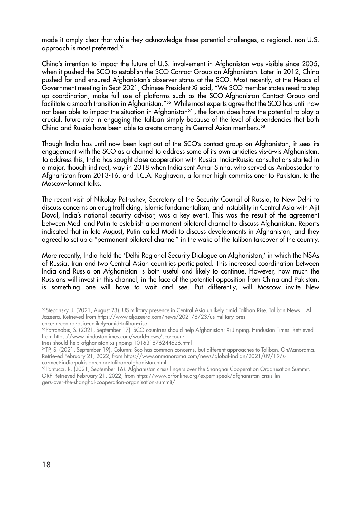made it amply clear that while they acknowledge these potential challenges, a regional, non-U.S. approach is most preferred.55

China's intention to impact the future of U.S. involvement in Afghanistan was visible since 2005, when it pushed the SCO to establish the SCO Contact Group on Afghanistan. Later in 2012, China pushed for and ensured Afghanistan's observer status at the SCO. Most recently, at the Heads of Government meeting in Sept 2021, Chinese President Xi said, "We SCO member states need to step up coordination, make full use of platforms such as the SCO-Afghanistan Contact Group and facilitate a smooth transition in Afghanistan."<sup>56</sup> While most experts agree that the SCO has until now not been able to impact the situation in Afghanistan<sup>57</sup>, the forum does have the potential to play a crucial, future role in engaging the Taliban simply because of the level of dependencies that both China and Russia have been able to create among its Central Asian members.<sup>58</sup>

Though India has until now been kept out of the SCO's contact group on Afghanistan, it sees its engagement with the SCO as a channel to address some of its own anxieties vis-à-vis Afghanistan. To address this, India has sought close cooperation with Russia. India-Russia consultations started in a major, though indirect, way in 2018 when India sent Amar Sinha, who served as Ambassador to Afghanistan from 2013-16, and T.C.A. Raghavan, a former high commissioner to Pakistan, to the Moscow-format talks.

The recent visit of Nikolay Patrushev, Secretary of the Security Council of Russia, to New Delhi to discuss concerns on drug trafficking, Islamic fundamentalism, and instability in Central Asia with Ajit Doval, India's national security advisor, was a key event. This was the result of the agreement between Modi and Putin to establish a permanent bilateral channel to discuss Afghanistan. Reports indicated that in late August, Putin called Modi to discuss developments in Afghanistan, and they agreed to set up a "permanent bilateral channel" in the wake of the Taliban takeover of the country.

More recently, India held the 'Delhi Regional Security Dialogue on Afghanistan,' in which the NSAs of Russia, Iran and two Central Asian countries participated. This increased coordination between India and Russia on Afghanistan is both useful and likely to continue. However, how much the Russians will invest in this channel, in the face of the potential opposition from China and Pakistan, is something one will have to wait and see. Put differently, will Moscow invite New

<sup>55</sup>Stepansky, J. (2021, August 23). US military presence in Central Asia unlikely amid Taliban Rise. Taliban News | Al Jazeera. Retrieved from https://www.aljazeera.com/news/2021/8/23/us-military-presence-in-central-asia-unlikely-amid-taliban-rise

<sup>56</sup>Patranobis, S. (2021, September 17). SCO countries should help Afghanistan: Xi Jinping. Hindustan Times. Retrieved from https://www.hindustantimes.com/world-news/sco-coun-

tries-should-help-afghanistan-xi-jinping-101631876244626.html

<sup>57</sup>TP, S. (2021, September 19). Column: Sco has common concerns, but different approaches to Taliban. OnManorama. Retrieved February 21, 2022, from https://www.onmanorama.com/news/global-indian/2021/09/19/sco-meet-india-pakistan-china-taliban-afghanistan.html

<sup>58</sup>Pantucci, R. (2021, September 16). Afghanistan crisis lingers over the Shanghai Cooperation Organisation Summit. ORF. Retrieved February 21, 2022, from https://www.orfonline.org/expert-speak/afghanistan-crisis-lingers-over-the-shanghai-cooperation-organisation-summit/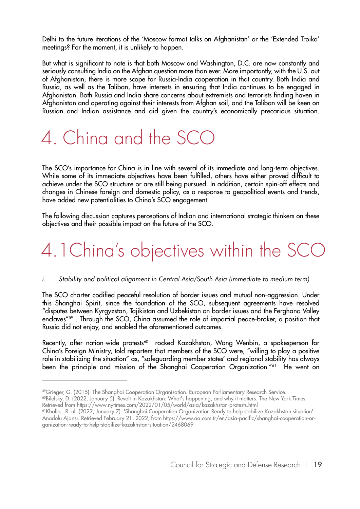Delhi to the future iterations of the 'Moscow format talks on Afghanistan' or the 'Extended Troika' meetings? For the moment, it is unlikely to happen.

But what is significant to note is that both Moscow and Washington, D.C. are now constantly and seriously consulting India on the Afghan question more than ever. More importantly, with the U.S. out of Afghanistan, there is more scope for Russia-India cooperation in that country. Both India and Russia, as well as the Taliban, have interests in ensuring that India continues to be engaged in Afghanistan. Both Russia and India share concerns about extremists and terrorists finding haven in Afghanistan and operating against their interests from Afghan soil, and the Taliban will be keen on Russian and Indian assistance and aid given the country's economically precarious situation.

## 4. China and the SCO

The SCO's importance for China is in line with several of its immediate and long-term objectives. While some of its immediate objectives have been fulfilled, others have either proved difficult to achieve under the SCO structure or are still being pursued. In addition, certain spin-off effects and changes in Chinese foreign and domestic policy, as a response to geopolitical events and trends, have added new potentialities to China's SCO engagement.

The following discussion captures perceptions of Indian and international strategic thinkers on these objectives and their possible impact on the future of the SCO.

# 4.1China's objectives within the SCO

#### *i. Stability and political alignment in Central Asia/South Asia (immediate to medium term)*

The SCO charter codified peaceful resolution of border issues and mutual non-aggression. Under this Shanghai Spirit, since the foundation of the SCO, subsequent agreements have resolved "disputes between Kyrgyzstan, Tajikistan and Uzbekistan on border issues and the Ferghana Valley enclaves"<sup>59</sup>. Through the SCO, China assumed the role of impartial peace-broker, a position that Russia did not enjoy, and enabled the aforementioned outcomes.

Recently, after nation-wide protests<sup>60</sup> rocked Kazakhstan, Wang Wenbin, a spokesperson for China's Foreign Ministry, told reporters that members of the SCO were, "willing to play a positive role in stabilizing the situation" as, "safeguarding member states' and regional stability has always been the principle and mission of the Shanghai Cooperation Organization."<sup>61</sup> He went on

<sup>59</sup>Grieger, G. (2015). The Shanghai Cooperation Organisation. European Parliamentary Research Service.

<sup>60</sup>Bilefsky, D. (2022, January 5). Revolt in Kazakhstan: What's happening, and why it matters. The New York Times. Retrieved from https://www.nytimes.com/2022/01/05/world/asia/kazakhstan-protests.html

<sup>61</sup>Khaliq , R. ul. (2022, January 7). 'Shanghai Cooperation Organization Ready to help stabilize Kazakhstan situation'. Anadolu Ajansı. Retrieved February 21, 2022, from https://www.aa.com.tr/en/asia-pacific/shanghai-cooperation-organization-ready-to-help-stabilize-kazakhstan-situation/2468069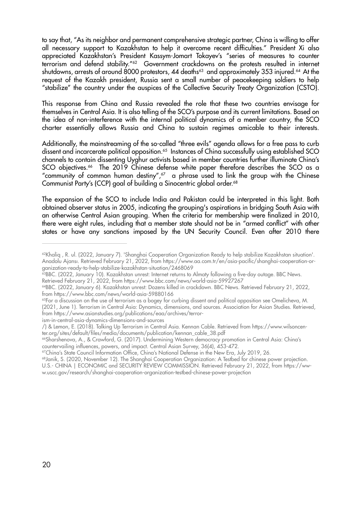to say that, "As its neighbor and permanent comprehensive strategic partner, China is willing to offer all necessary support to Kazakhstan to help it overcome recent difficulties." President Xi also appreciated Kazakhstan's President Kassym-Jomart Tokayev's "series of measures to counter terrorism and defend stability."62 Government crackdowns on the protests resulted in internet shutdowns, arrests of around 8000 protestors, 44 deaths<sup>63</sup> and approximately 353 injured.<sup>64</sup> At the request of the Kazakh president, Russia sent a small number of peacekeeping soldiers to help "stabilize" the country under the auspices of the Collective Security Treaty Organization (CSTO).

This response from China and Russia revealed the role that these two countries envisage for themselves in Central Asia. It is also telling of the SCO's purpose and its current limitations. Based on the idea of non-interference with the internal political dynamics of a member country, the SCO charter essentially allows Russia and China to sustain regimes amicable to their interests.

Additionally, the mainstreaming of the so-called "three evils" agenda allows for a free pass to curb dissent and incarcerate political opposition.<sup>65</sup> Instances of China successfully using established SCO channels to contain dissenting Uyghur activists based in member countries further illuminate China's SCO objectives.<sup>66</sup> The 2019 Chinese defense white paper therefore describes the SCO as a "community of common human destiny", $67$  a phrase used to link the group with the Chinese Communist Party's (CCP) goal of building a Sinocentric global order.68

The expansion of the SCO to include India and Pakistan could be interpreted in this light. Both obtained observer status in 2005, indicating the grouping's aspirations in bridging South Asia with an otherwise Central Asian grouping. When the criteria for membership were finalized in 2010, there were eight rules, including that a member state should not be in "armed conflict" with other states or have any sanctions imposed by the UN Security Council. Even after 2010 there

<sup>&</sup>lt;sup>62</sup>Khaliq, R. ul. (2022, January 7). 'Shanghai Cooperation Organization Ready to help stabilize Kazakhstan situation'. Anadolu Ajansı. Retrieved February 21, 2022, from https://www.aa.com.tr/en/asia-pacific/shanghai-cooperation-organization-ready-to-help-stabilize-kazakhstan-situation/2468069

<sup>63</sup>BBC. (2022, January 10). Kazakhstan unrest: Internet returns to Almaty following a five-day outage. BBC News. Retrieved February 21, 2022, from https://www.bbc.com/news/world-asia-59927267

<sup>64</sup>BBC. (2022, January 6). Kazakhstan unrest: Dozens killed in crackdown. BBC News. Retrieved February 21, 2022, from https://www.bbc.com/news/world-asia-59880166

<sup>&</sup>lt;sup>65</sup>For a discussion on the use of terrorism as a bogey for curbing dissent and political opposition see Omelicheva, M. (2021, June 1). Terrorism in Central Asia: Dynamics, dimensions, and sources. Association for Asian Studies. Retrieved, from https://www.asianstudies.org/publications/eaa/archives/terror-

ism-in-central-asia-dynamics-dimensions-and-sources

<sup>/) &</sup>amp; Lemon, E. (2018). Talking Up Terrorism in Central Asia. Kennan Cable. Retrieved from https://www.wilsoncenter.org/sites/default/files/media/documents/publication/kennan\_cable\_38.pdf

<sup>&</sup>lt;sup>66</sup>Sharshenova, A., & Crawford, G. (2017). Undermining Western democracy promotion in Central Asia: China's countervailing influences, powers, and impact. Central Asian Survey, 36(4), 453-472.

<sup>67</sup>China's State Council Information Office, China's National Defense in the New Era, July 2019, 26.

<sup>&</sup>lt;sup>68</sup>Janik, S. (2020, November 12). The Shanghai Cooperation Organization: A Testbed for chinese power projection. U.S.- CHINA | ECONOMIC and SECURITY REVIEW COMMISSION. Retrieved February 21, 2022, from https://www.uscc.gov/research/shanghai-cooperation-organization-testbed-chinese-power-projection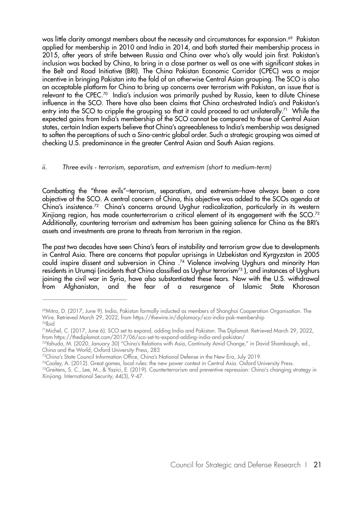was little clarity amongst members about the necessity and circumstances for expansion.<sup>69</sup> Pakistan applied for membership in 2010 and India in 2014, and both started their membership process in 2015, after years of strife between Russia and China over who's ally would join first. Pakistan's inclusion was backed by China, to bring in a close partner as well as one with significant stakes in the Belt and Road Initiative (BRI). The China Pakistan Economic Corridor (CPEC) was a major incentive in bringing Pakistan into the fold of an otherwise Central Asian grouping. The SCO is also an acceptable platform for China to bring up concerns over terrorism with Pakistan, an issue that is relevant to the CPEC.70 India's inclusion was primarily pushed by Russia, keen to dilute Chinese influence in the SCO. There have also been claims that China orchestrated India's and Pakistan's entry into the SCO to cripple the grouping so that it could proceed to act unilaterally.<sup>71</sup> While the expected gains from India's membership of the SCO cannot be compared to those of Central Asian states, certain Indian experts believe that China's agreeableness to India's membership was designed to soften the perceptions of such a Sino-centric global order. Such a strategic grouping was aimed at checking U.S. predominance in the greater Central Asian and South Asian regions.

#### *ii. Three evils - terrorism, separatism, and extremism (short to medium-term)*

Combatting the "three evils"–terrorism, separatism, and extremism–have always been a core objective of the SCO. A central concern of China, this objective was added to the SCOs agenda at China's insistence.72 China's concerns around Uyghur radicalization, particularly in its western Xinjiang region, has made counterterrorism a critical element of its engagement with the SCO.<sup>73</sup> Additionally, countering terrorism and extremism has been gaining salience for China as the BRI's assets and investments are prone to threats from terrorism in the region.

The past two decades have seen China's fears of instability and terrorism grow due to developments in Central Asia. There are concerns that popular uprisings in Uzbekistan and Kyrgyzstan in 2005 could inspire dissent and subversion in China .<sup>74</sup> Violence involving Uyghurs and minority Han residents in Urumqi (incidents that China classified as Uyghur terrorism<sup>75</sup>), and instances of Uyghurs joining the civil war in Syria, have also substantiated these fears. Now with the U.S. withdrawal from Afghanistan, and the fear of a resurgence of Islamic State Khorasan

<sup>69</sup>Mitra, D. (2017, June 9). India, Pakistan formally inducted as members of Shanghai Cooperation Organisation. The Wire. Retrieved March 29, 2022, from https://thewire.in/diplomacy/sco-india-pak-membership 70Ibid

<sup>71</sup>Michel, C. (2017, June 6). SCO set to expand, adding India and Pakistan. The Diplomat. Retrieved March 29, 2022, from https://thediplomat.com/2017/06/sco-set-to-expand-adding-india-and-pakistan/

<sup>72</sup>Yahuda, M. (2020, January 30) "China's Relations with Asia, Continuity Amid Change," in David Shambaugh, ed., China and the World, Oxford University Press, 283

<sup>73</sup>China's State Council Information Office, China's National Defense in the New Era, July 2019.

<sup>74</sup>Cooley, A. (2012). Great games, local rules: the new power contest in Central Asia. Oxford University Press.

<sup>75</sup>Greitens, S. C., Lee, M., & Yazici, E. (2019). Counterterrorism and preventive repression: China's changing strategy in Xinjiang. International Security, 44(3), 9-47.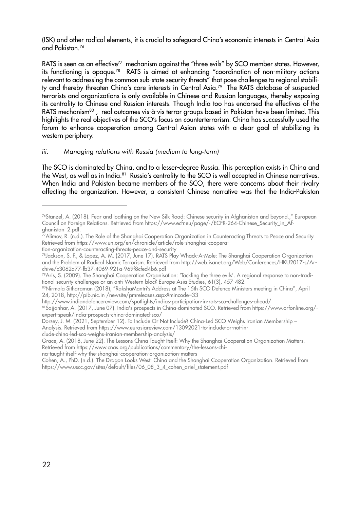(ISK) and other radical elements, it is crucial to safeguard China's economic interests in Central Asia and Pakistan.76

RATS is seen as an effective<sup>77</sup> mechanism against the "three evils" by SCO member states. However, its functioning is opaque.78 RATS is aimed at enhancing "coordination of non-military actions relevant to addressing the common sub-state security threats" that pose challenges to regional stability and thereby threaten China's core interests in Central Asia.<sup>79</sup> The RATS database of suspected terrorists and organizations is only available in Chinese and Russian languages, thereby exposing its centrality to Chinese and Russian interests. Though India too has endorsed the effectives of the RATS mechanism<sup>80</sup>, real outcomes vis-à-vis terror groups based in Pakistan have been limited. This highlights the real objectives of the SCO's focus on counterterrorism. China has successfully used the forum to enhance cooperation among Central Asian states with a clear goal of stabilizing its western periphery.

#### *iii. Managing relations with Russia (medium to long-term)*

The SCO is dominated by China, and to a lesser-degree Russia. This perception exists in China and the West, as well as in India.<sup>81</sup> Russia's centrality to the SCO is well accepted in Chinese narratives. When India and Pakistan became members of the SCO, there were concerns about their rivalry affecting the organization. However, a consistent Chinese narrative was that the India-Pakistan

79Aris, S. (2009). The Shanghai Cooperation Organisation: 'Tackling the three evils'. A regional response to non-traditional security challenges or an anti-Western bloc? Europe-Asia Studies, 61(3), 457-482.

clude-china-led-sco-weighs-iranian-membership-analysis/

Grace, A. (2018, June 22). The Lessons China Taught Itself: Why the Shanghai Cooperation Organization Matters. Retrieved from https://www.cnas.org/publications/commentary/the-lessons-chi-

<sup>76</sup>Stanzel, A. (2018). Fear and loathing on the New Silk Road: Chinese security in Afghanistan and beyond.," European Council on Foreign Relations. Retrieved from https://www.ecfr.eu/page/-/ECFR-264-Chinese\_Security\_in\_Afghanistan\_2.pdf.

 $\rm \vec{r}$ Alimov, R. (n.d.). The Role of the Shanghai Cooperation Organization in Counteracting Threats to Peace and Security. Retrieved from https://www.un.org/en/chronicle/article/role-shanghai-coopera-

tion-organization-counteracting-threats-peace-and-security

<sup>78</sup>Jackson, S. F., & Lopez, A. M. (2017, June 17). RATS Play Whack-A-Mole: The Shanghai Cooperation Organization and the Problem of Radical Islamic Terrorism. Retrieved from http://web.isanet.org/Web/Conferences/HKU2017-s/Archive/c3062a77-fb37-4069-921a-969f8cfed4b6.pdf

<sup>80</sup>Nirmala Sitharaman (2018), "RakshaMantri's Address at The 15th SCO Defence Ministers meeting in China", April 24, 2018, http://pib.nic.in /newsite/pmreleases.aspx?mincode=33

http://www.indiandefencereview.com/spotlights/indias-participation-in-rats-sco-challenges-ahead/

<sup>81</sup>Sajjanhar, A. (2017, June 07). India's prospects in China-dominated SCO. Retrieved from https://www.orfonline.org/expert-speak/india-prospects-china-dominated-sco/

Dorsey, J. M. (2021, September 12). To Include Or Not Include? China-Led SCO Weighs Iranian Membership – Analysis. Retrieved from https://www.eurasiareview.com/13092021-to-include-or-not-in-

na-taught-itself-why-the-shanghai-cooperation-organization-matters

Cohen, A., PhD. (n.d.). The Dragon Looks West: China and the Shanghai Cooperation Organization. Retrieved from https://www.uscc.gov/sites/default/files/06\_08\_3\_4\_cohen\_ariel\_statement.pdf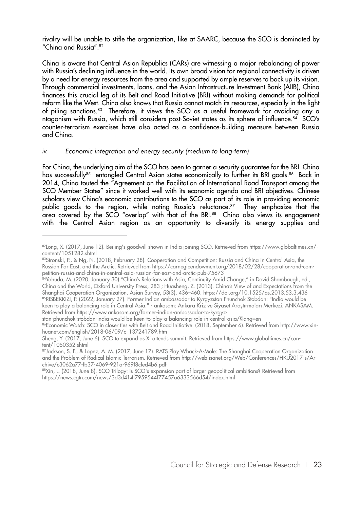rivalry will be unable to stifle the organization, like at SAARC, because the SCO is dominated by "China and Russia".82

China is aware that Central Asian Republics (CARs) are witnessing a major rebalancing of power with Russia's declining influence in the world. Its own broad vision for regional connectivity is driven by a need for energy resources from the area and supported by ample reserves to back up its vision. Through commercial investments, loans, and the Asian Infrastructure Investment Bank (AIIB), China finances this crucial leg of its Belt and Road Initiative (BRI) without making demands for political reform like the West. China also knows that Russia cannot match its resources, especially in the light of piling sanctions.83 Therefore, it views the SCO as a useful framework for avoiding any a ntagonism with Russia, which still considers post-Soviet states as its sphere of influence.84 SCO's counter-terrorism exercises have also acted as a confidence-building measure between Russia and China.

#### *iv. Economic integration and energy security (medium to long-term)*

For China, the underlying aim of the SCO has been to garner a security guarantee for the BRI. China has successfully<sup>85</sup> entangled Central Asian states economically to further its BRI goals.<sup>86</sup> Back in 2014, China touted the "Agreement on the Facilitation of International Road Transport among the SCO Member States" since it worked well with its economic agenda and BRI objectives. Chinese scholars view China's economic contributions to the SCO as part of its role in providing economic public goods to the region, while noting Russia's reluctance.<sup>87</sup> They emphasize that the area covered by the SCO "overlap" with that of the BRI.<sup>88</sup> China also views its engagement with the Central Asian region as an opportunity to diversify its energy supplies and

<sup>82</sup>Long, X. (2017, June 12). Beijing's goodwill shown in India joining SCO. Retrieved from https://www.globaltimes.cn/content/1051282.shtml

<sup>83</sup>Stronski, P., & Ng, N. (2018, February 28). Cooperation and Competition: Russia and China in Central Asia, the Russian Far East, and the Arctic. Retrieved from https://carnegieendowment.org/2018/02/28/cooperation-and-competition-russia-and-china-in-central-asia-russian-far-east-and-arctic-pub-75673

<sup>84</sup>Yahuda, M. (2020, January 30) "China's Relations with Asia, Continuity Amid Change," in David Shambaugh, ed., China and the World, Oxford University Press, 283 ; Huasheng, Z. (2013). China's View of and Expectations from the Shanghai Cooperation Organization. Asian Survey, 53(3), 436–460. https://doi.org/10.1525/as.2013.53.3.436 85RISBEKKIZI, P. (2022, January 27). Former Indian ambassador to Kyrgyzstan Phunchok Stobdan: "India would be keen to play a balancing role in Central Asia." - ankasam: Ankara Kriz ve Siyaset Araştırmaları Merkezi. ANKASAM. Retrieved from https://www.ankasam.org/former-indian-ambassador-to-kyrgyz-

stan-phunchok-stobdan-india-would-be-keen-to-play-a-balancing-role-in-central-asia/?lang=en 86Economic Watch: SCO in closer ties with Belt and Road Initiative. (2018, September 6). Retrieved from http://www.xinhuanet.com/english/2018-06/09/c\_137241789.htm

Sheng, Y. (2017, June 6). SCO to expand as Xi attends summit. Retrieved from https://www.globaltimes.cn/content/1050352.shtml

<sup>87</sup>Jackson, S. F., & Lopez, A. M. (2017, June 17). RATS Play Whack-A-Mole: The Shanghai Cooperation Organization and the Problem of Radical Islamic Terrorism. Retrieved from http://web.isanet.org/Web/Conferences/HKU2017-s/Archive/c3062a77-fb37-4069-921a-969f8cfed4b6.pdf

<sup>88</sup>Xin, L. (2018, June 8). SCO Trilogy: Is SCO's expansion part of larger geopolitical ambitions? Retrieved from https://news.cgtn.com/news/3d3d414f7959544f77457a6333566d54/index.html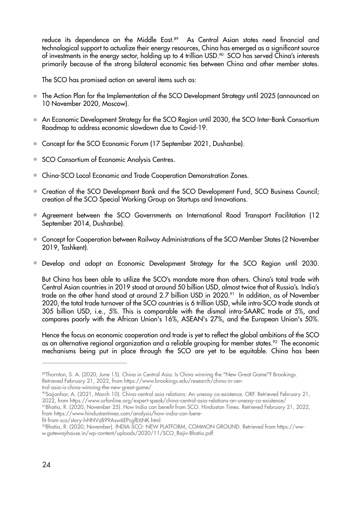reduce its dependence on the Middle East.<sup>89</sup> As Central Asian states need financial and technological support to actualize their energy resources, China has emerged as a significant source of investments in the energy sector, holding up to 4 trillion USD.<sup>90</sup> SCO has served China's interests primarily because of the strong bilateral economic ties between China and other member states.

The SCO has promised action on several items such as:

- The Action Plan for the Implementation of the SCO Development Strategy until 2025 (announced on 10 November 2020, Moscow).
- An Economic Development Strategy for the SCO Region until 2030, the SCO Inter-Bank Consortium Roadmap to address economic slowdown due to Covid-19.
- Concept for the SCO Economic Forum (17 September 2021, Dushanbe).
- SCO Consortium of Economic Analysis Centres.
- China-SCO Local Economic and Trade Cooperation Demonstration Zones.
- Creation of the SCO Development Bank and the SCO Development Fund, SCO Business Council; creation of the SCO Special Working Group on Startups and Innovations.
- Agreement between the SCO Governments on International Road Transport Facilitation (12 September 2014, Dushanbe).
- Concept for Cooperation between Railway Administrations of the SCO Member States (2 November 2019, Tashkent).
- Develop and adopt an Economic Development Strategy for the SCO Region until 2030.

But China has been able to utilize the SCO's mandate more than others. China's total trade with Central Asian countries in 2019 stood at around 50 billion USD, almost twice that of Russia's. India's trade on the other hand stood at around 2.7 billion USD in 2020.<sup>91</sup> In addition, as of November 2020, the total trade turnover of the SCO countries is 6 trillion USD, while intra-SCO trade stands at 305 billion USD, i.e., 5%. This is comparable with the dismal intra-SAARC trade at 5%, and compares poorly with the African Union's 16%, ASEAN's 27%, and the European Union's 50%.

Hence the focus on economic cooperation and trade is yet to reflect the global ambitions of the SCO as an alternative regional organization and a reliable grouping for member states.<sup>92</sup> The economic mechanisms being put in place through the SCO are yet to be equitable. China has been

tral-asia-is-china-winning-the-new-great-game/

91Bhatia, R. (2020, November 25). How India can benefit from SCO. Hindustan Times. Retrieved February 21, 2022, from https://www.hindustantimes.com/analysis/how-india-can-bene-

fit-from-sco/story-lvHNVzB99Asw6EPcgfE6NK.html

<sup>89</sup>Thornton, S. A. (2020, June 15). China in Central Asia: Is China winning the "New Great Game"? Brookings. Retrieved February 21, 2022, from https://www.brookings.edu/research/china-in-cen-

<sup>90</sup>Sajjanhar, A. (2021, March 10). China-central asia relations: An uneasy co-existence. ORF. Retrieved February 21, 2022, from https://www.orfonline.org/expert-speak/china-central-asia-relations-an-uneasy-co-existence/

<sup>92</sup>Bhatia, R. (2020, November). INDIA-SCO: NEW PLATFORM, COMMON GROUND. Retrieved from https://www.gatewayhouse.in/wp-content/uploads/2020/11/SCO\_Rajiv-Bhatia.pdf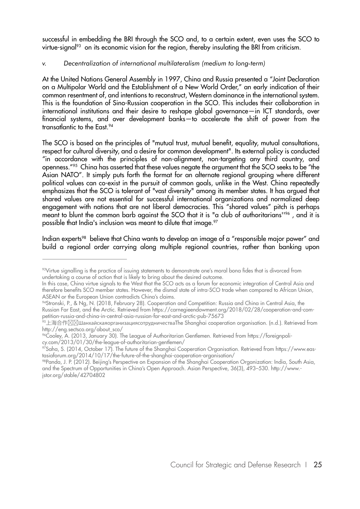successful in embedding the BRI through the SCO and, to a certain extent, even uses the SCO to virtue-signal<sup>93</sup> on its economic vision for the region, thereby insulating the BRI from criticism.

#### *v. Decentralization of international multilateralism (medium to long-term)*

At the United Nations General Assembly in 1997, China and Russia presented a "Joint Declaration on a Multipolar World and the Establishment of a New World Order," an early indication of their common resentment of, and intentions to reconstruct, Western dominance in the international system. This is the foundation of Sino-Russian cooperation in the SCO. This includes their collaboration in international institutions and their desire to reshape global governance—in ICT standards, over financial systems, and over development banks—to accelerate the shift of power from the transatlantic to the East.<sup>94</sup>

The SCO is based on the principles of "mutual trust, mutual benefit, equality, mutual consultations, respect for cultural diversity, and a desire for common development". Its external policy is conducted "in accordance with the principles of non-alignment, non-targeting any third country, and openness."95 China has asserted that these values negate the argument that the SCO seeks to be "the Asian NATO". It simply puts forth the format for an alternate regional grouping where different political values can co-exist in the pursuit of common goals, unlike in the West. China repeatedly emphasizes that the SCO is tolerant of "vast diversity" among its member states. It has argued that shared values are not essential for successful international organizations and normalized deep engagement with nations that are not liberal democracies. This "shared values" pitch is perhaps meant to blunt the common barb against the SCO that it is "a club of authoritarians"<sup>96</sup>, and it is possible that India's inclusion was meant to dilute that image.<sup>97</sup>

Indian experts<sup>98</sup> believe that China wants to develop an image of a "responsible major power" and build a regional order carrying along multiple regional countries, rather than banking upon

<sup>93</sup>Virtue signalling is the practice of issuing statements to demonstrate one's moral bona fides that is divorced from undertaking a course of action that is likely to bring about the desired outcome.

In this case, China virtue signals to the West that the SCO acts as a forum for economic integration of Central Asia and therefore benefits SCO member states. However, the dismal state of intra-SCO trade when compared to African Union, ASEAN or the European Union contradicts China's claims.

<sup>94</sup>Stronski, P., & Ng, N. (2018, February 28). Cooperation and Competition: Russia and China in Central Asia, the Russian Far East, and the Arctic. Retrieved from https://carnegieendowment.org/2018/02/28/cooperation-and-competition-russia-and-china-in-central-asia-russian-far-east-and-arctic-pub-75673

<sup>&</sup>lt;sup>95</sup>上海合作 $\boxtimes$ ШанхайскаяорганизациясотрудничестваThe Shanghai cooperation organisation. (n.d.). Retrieved from http://eng.sectsco.org/about\_sco/

<sup>96</sup>Cooley, A. (2013, January 30). The League of Authoritarian Gentlemen. Retrieved from https://foreignpolicy.com/2013/01/30/the-league-of-authoritarian-gentlemen/

<sup>97</sup>Saha, S. (2014, October 17). The future of the Shanghai Cooperation Organisation. Retrieved from https://www.eastasiaforum.org/2014/10/17/the-future-of-the-shanghai-cooperation-organisation/

<sup>98</sup>Panda, J. P. (2012). Beijing's Perspective on Expansion of the Shanghai Cooperation Organization: India, South Asia, and the Spectrum of Opportunities in China's Open Approach. Asian Perspective, 36(3), 493–530. http://www. jstor.org/stable/42704802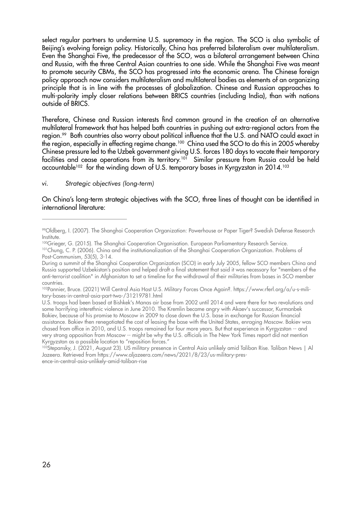select regular partners to undermine U.S. supremacy in the region. The SCO is also symbolic of Beijing's evolving foreign policy. Historically, China has preferred bilateralism over multilateralism. Even the Shanghai Five, the predecessor of the SCO, was a bilateral arrangement between China and Russia, with the three Central Asian countries to one side. While the Shanghai Five was meant to promote security CBMs, the SCO has progressed into the economic arena. The Chinese foreign policy approach now considers multilateralism and multilateral bodies as elements of an organizing principle that is in line with the processes of globalization. Chinese and Russian approaches to multi-polarity imply closer relations between BRICS countries (including India), than with nations outside of BRICS.

Therefore, Chinese and Russian interests find common ground in the creation of an alternative multilateral framework that has helped both countries in pushing out extra-regional actors from the region.<sup>99</sup> Both countries also worry about political influence that the U.S. and NATO could exact in the region, especially in effecting regime change.100 China used the SCO to do this in 2005 whereby Chinese pressure led to the Uzbek government giving U.S. forces 180 days to vacate their temporary facilities and cease operations from its territory.<sup>101</sup> Similar pressure from Russia could be held accountable<sup>102</sup> for the winding down of U.S. temporary bases in Kyrgyzstan in 2014.<sup>103</sup>

#### *vi. Strategic objectives (long-term)*

On China's long-term strategic objectives with the SCO, three lines of thought can be identified in international literature:

<sup>99</sup>Oldberg, I. (2007). The Shanghai Cooperation Organization: Powerhouse or Paper Tiger? Swedish Defense Research Institute.

<sup>100</sup>Grieger, G. (2015). The Shanghai Cooperation Organisation. European Parliamentary Research Service. <sup>101</sup>Chung, C. P. (2006). China and the institutionalization of the Shanghai Cooperation Organization. Problems of Post-Communism, 53(5), 3-14.

During a summit of the Shanghai Cooperation Organization (SCO) in early July 2005, fellow SCO members China and Russia supported Uzbekistan's position and helped draft a final statement that said it was necessary for "members of the anti-terrorist coalition" in Afghanistan to set a timeline for the withdrawal of their militaries from bases in SCO member countries.

<sup>102</sup>Pannier, Bruce. (2021) Will Central Asia Host U.S. Military Forces Once Again?. https://www.rferl.org/a/u-s-military-bases-in-central-asia-part-two-/31219781.html

U.S. troops had been based at Bishkek's Manas air base from 2002 until 2014 and were there for two revolutions and some horrifying interethnic violence in June 2010. The Kremlin became angry with Akaev's successor, Kurmanbek Bakiev, because of his promise to Moscow in 2009 to close down the U.S. base in exchange for Russian financial assistance. Bakiev then renegotiated the cost of leasing the base with the United States, enraging Moscow. Bakiev was chased from office in 2010, and U.S. troops remained for four more years. But that experience in Kyrgyzstan -- and very strong opposition from Moscow -- might be why the U.S. officials in The New York Times report did not mention Kyrgyzstan as a possible location to "reposition forces."

<sup>&</sup>lt;sup>103</sup>Stepansky, J. (2021, August 23). US military presence in Central Asia unlikely amid Taliban Rise. Taliban News | Al Jazeera. Retrieved from https://www.aljazeera.com/news/2021/8/23/us-military-presence-in-central-asia-unlikely-amid-taliban-rise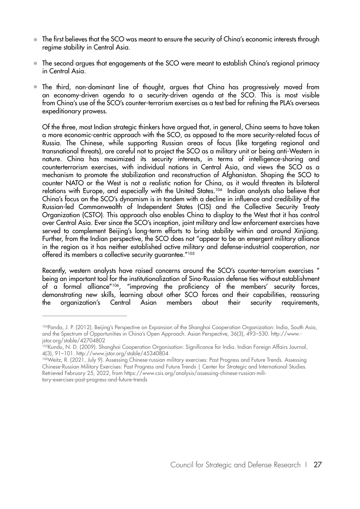- The first believes that the SCO was meant to ensure the security of China's economic interests through regime stability in Central Asia.
- The second argues that engagements at the SCO were meant to establish China's regional primacy in Central Asia.
- The third, non-dominant line of thought, argues that China has progressively moved from an economy-driven agenda to a security-driven agenda at the SCO. This is most visible from China's use of the SCO's counter-terrorism exercises as a test bed for refining the PLA's overseas expeditionary prowess.

Of the three, most Indian strategic thinkers have argued that, in general, China seems to have taken a more economic-centric approach with the SCO, as opposed to the more security-related focus of Russia. The Chinese, while supporting Russian areas of focus (like targeting regional and transnational threats), are careful not to project the SCO as a military unit or being anti-Western in nature. China has maximized its security interests, in terms of intelligence-sharing and counterterrorism exercises, with individual nations in Central Asia, and views the SCO as a mechanism to promote the stabilization and reconstruction of Afghanistan. Shaping the SCO to counter NATO or the West is not a realistic notion for China, as it would threaten its bilateral relations with Europe, and especially with the United States.104 Indian analysts also believe that China's focus on the SCO's dynamism is in tandem with a decline in influence and credibility of the Russian-led Commonwealth of Independent States (CIS) and the Collective Security Treaty Organization (CSTO). This approach also enables China to display to the West that it has control over Central Asia. Ever since the SCO's inception, joint military and law enforcement exercises have served to complement Beijing's long-term efforts to bring stability within and around Xinjiang. Further, from the Indian perspective, the SCO does not "appear to be an emergent military alliance in the region as it has neither established active military and defense-industrial cooperation, nor offered its members a collective security guarantee."105

Recently, western analysts have raised concerns around the SCO's counter-terrorism exercises " being an important tool for the institutionalization of Sino-Russian defense ties without establishment of a formal alliance"106, "improving the proficiency of the members' security forces, demonstrating new skills, learning about other SCO forces and their capabilities, reassuring the organization's Central Asian members about their security requirements,

<sup>104</sup>Panda, J. P. (2012). Beijing's Perspective on Expansion of the Shanghai Cooperation Organization: India, South Asia, and the Spectrum of Opportunities in China's Open Approach. Asian Perspective, 36(3), 493–530. http://www. jstor.org/stable/42704802

<sup>105</sup>Kundu, N. D. (2009). Shanghai Cooperation Organisation: Significance for India. Indian Foreign Affairs Journal, 4(3), 91–101. http://www.jstor.org/stable/45340804

<sup>106</sup>Weitz, R. (2021, July 9). Assessing Chinese-russian military exercises: Past Progress and Future Trends. Assessing Chinese-Russian Military Exercises: Past Progress and Future Trends | Center for Strategic and International Studies. Retrieved February 25, 2022, from https://www.csis.org/analysis/assessing-chinese-russian-military-exercises-past-progress-and-future-trends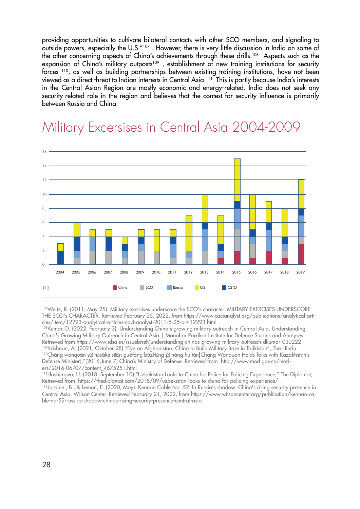providing opportunities to cultivate bilateral contacts with other SCO members, and signaling to outside powers, especially the U.S."107 . However, there is very little discussion in India on some of the other concerning aspects of China's achievements through these drills.108 Aspects such as the expansion of China's military outposts<sup>109</sup>, establishment of new training institutions for security forces 110, as well as building partnerships between existing training institutions, have not been viewed as a direct threat to Indian interests in Central Asia.111 This is partly because India's interests in the Central Asian Region are mostly economic and energy-related. India does not seek any security-related role in the region and believes that the contest for security influence is primarily between Russia and China.



### Military Excersises in Central Asia 2004-2009

107Weitz, R. (2011, May 25). Military exercises underscore the SCO's character. MILITARY EXERCISES UNDERSCORE THE SCO's CHARACTER. Retrieved February 25, 2022, from https://www.cacianalyst.org/publications/analytical-articles/item/12293-analytical-articles-caci-analyst-2011-5-25-art-12293.html

108Kumar, D. (2022, February 3). Understanding China's growing military outreach in Central Asia. Understanding China's Growing Military Outreach in Central Asia | Manohar Parrikar Institute for Defence Studies and Analyses. Retrieved from https://www.idsa.in/issuebrief/understanding-chinas-growing-military-outreach-dkumar-030222<br><sup>109</sup>Krishnan, A. (2021, October 28) "Eye on Afghanistan, China to Build Military Base in Tajikistan", The Hindu. <sup>110</sup>Cháng wànguán y hāsàkè sīt n guófáng bùzh ng j háng huìtán[Chang Wanguan Holds Talks with Kazakhstan's Defense Minister],"(2016,June 7) China's Ministry of Defense. Retrieved from http://www.mod.gov.cn/leaders/2016-06/07/content\_4675251.html

111Hashimova, U. (2018, September 10) "Uzbekistan Looks to China for Police for Policing Experience," The Diplomat, Retrieved from https://thediplomat.com/2018/09/uzbekistan-looks-to-china-for-policing-experience/

112Jardine , B., & Lemon, E. (2020, May). Kennan Cable No. 52: In Russia's shadow: China's rising security presence in Central Asia. Wilson Center. Retrieved February 21, 2022, from https://www.wilsoncenter.org/publication/kennan-cable-no-52-russias-shadow-chinas-rising-security-presence-central-asia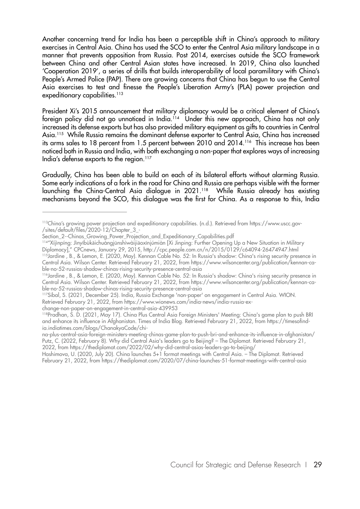Another concerning trend for India has been a perceptible shift in China's approach to military exercises in Central Asia. China has used the SCO to enter the Central Asia military landscape in a manner that prevents opposition from Russia. Post 2014, exercises outside the SCO framework between China and other Central Asian states have increased. In 2019, China also launched 'Cooperation 2019', a series of drills that builds interoperability of local paramilitary with China's People's Armed Police (PAP). There are growing concerns that China has begun to use the Central Asia exercises to test and finesse the People's Liberation Army's (PLA) power projection and expeditionary capabilities.<sup>113</sup>

President Xi's 2015 announcement that military diplomacy would be a critical element of China's foreign policy did not go unnoticed in India.<sup>114</sup> Under this new approach, China has not only increased its defense exports but has also provided military equipment as gifts to countries in Central Asia.115 While Russia remains the dominant defense exporter to Central Asia, China has increased its arms sales to 18 percent from 1.5 percent between 2010 and 2014.<sup>116</sup> This increase has been noticed both in Russia and India, with both exchanging a non-paper that explores ways of increasing India's defense exports to the region.<sup>117</sup>

Gradually, China has been able to build on each of its bilateral efforts without alarming Russia. Some early indications of a fork in the road for China and Russia are perhaps visible with the former launching the China-Central Asia dialogue in 2021.<sup>118</sup> While Russia already has existing mechanisms beyond the SCO, this dialogue was the first for China. As a response to this, India

Hashimova, U. (2020, July 20). China launches 5+1 format meetings with Central Asia. – The Diplomat. Retrieved February 21, 2022, from https://thediplomat.com/2020/07/china-launches-51-format-meetings-with-central-asia

<sup>113</sup>China's growing power projection and expeditionary capabilities. (n.d.). Retrieved from https://www.uscc.gov- /sites/default/files/2020-12/Chapter\_3\_-

Section\_2--Chinas\_Growing\_Power\_Projection\_and\_Expeditionary\_Capabilities.pdf

<sup>114&</sup>quot;Xíjìnpíng: Jìnyībùkāichuǎngjūnshìwàijiāoxīnjúmiàn [Xi Jinping: Further Opening Up a New Situation in Military Diplomacy]," CPCnews, January 29, 2015, http://cpc.people.com.cn/n/2015/0129/c64094-26474947.html

<sup>115</sup>Jardine , B., & Lemon, E. (2020, May). Kennan Cable No. 52: In Russia's shadow: China's rising security presence in Central Asia. Wilson Center. Retrieved February 21, 2022, from https://www.wilsoncenter.org/publication/kennan-cable-no-52-russias-shadow-chinas-rising-security-presence-central-asia

<sup>116</sup>Jardine , B., & Lemon, E. (2020, May). Kennan Cable No. 52: In Russia's shadow: China's rising security presence in Central Asia. Wilson Center. Retrieved February 21, 2022, from https://www.wilsoncenter.org/publication/kennan-cable-no-52-russias-shadow-chinas-rising-security-presence-central-asia

<sup>117</sup>Sibal, S. (2021, December 25). India, Russia Exchange 'non-paper' on engagement in Central Asia. WION. Retrieved February 21, 2022, from https://www.wionews.com/india-news/india-russia-ex-

change-non-paper-on-engagement-in-central-asia-439953

<sup>118</sup>Pradhan, S. D. (2021, May 17). China Plus Central Asia Foreign Ministers' Meeting: China's game plan to push BRI and enhance its influence in Afghanistan. Times of India Blog. Retrieved February 21, 2022, from https://timesofindia.indiatimes.com/blogs/ChanakyaCode/chi-

na-plus-central-asia-foreign-ministers-meeting-chinas-game-plan-to-push-bri-and-enhance-its-influence-in-afghanistan/ Putz, C. (2022, February 8). Why did Central Asia's leaders go to Beijing? – The Diplomat. Retrieved February 21, 2022, from https://thediplomat.com/2022/02/why-did-central-asias-leaders-go-to-beijing/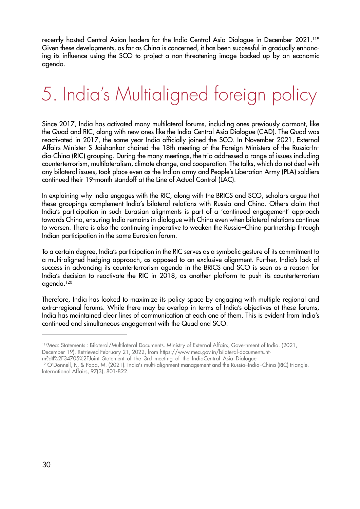recently hosted Central Asian leaders for the India-Central Asia Dialogue in December 2021.<sup>119</sup> Given these developments, as far as China is concerned, it has been successful in gradually enhancing its influence using the SCO to project a non-threatening image backed up by an economic agenda.

# 5. India's Multialigned foreign policy

Since 2017, India has activated many multilateral forums, including ones previously dormant, like the Quad and RIC, along with new ones like the India-Central Asia Dialogue (CAD). The Quad was reactivated in 2017, the same year India officially joined the SCO. In November 2021, External Affairs Minister S Jaishankar chaired the 18th meeting of the Foreign Ministers of the Russia-India-China (RIC) grouping. During the many meetings, the trio addressed a range of issues including counterterrorism, multilateralism, climate change, and cooperation. The talks, which do not deal with any bilateral issues, took place even as the Indian army and People's Liberation Army (PLA) soldiers continued their 19-month standoff at the Line of Actual Control (LAC).

In explaining why India engages with the RIC, along with the BRICS and SCO, scholars argue that these groupings complement India's bilateral relations with Russia and China. Others claim that India's participation in such Eurasian alignments is part of a 'continued engagement' approach towards China, ensuring India remains in dialogue with China even when bilateral relations continue to worsen. There is also the continuing imperative to weaken the Russia–China partnership through Indian participation in the same Eurasian forum.

To a certain degree, India's participation in the RIC serves as a symbolic gesture of its commitment to a multi-aligned hedging approach, as opposed to an exclusive alignment. Further, India's lack of success in advancing its counterterrorism agenda in the BRICS and SCO is seen as a reason for India's decision to reactivate the RIC in 2018, as another platform to push its counterterrorism agenda.120

Therefore, India has looked to maximize its policy space by engaging with multiple regional and extra-regional forums. While there may be overlap in terms of India's objectives at these forums, India has maintained clear lines of communication at each one of them. This is evident from India's continued and simultaneous engagement with the Quad and SCO.

December 19). Retrieved February 21, 2022, from https://www.mea.gov.in/bilateral-documents.htm?dtl%2F34705%2FJoint\_Statement\_of\_the\_3rd\_meeting\_of\_the\_IndiaCentral\_Asia\_Dialogue

<sup>119</sup>Mea: Statements : Bilateral/Multilateral Documents. Ministry of External Affairs, Government of India. (2021,

<sup>120</sup>O'Donnell, F., & Papa, M. (2021). India's multi-alignment management and the Russia–India–China (RIC) triangle.

International Affairs, 97(3), 801-822.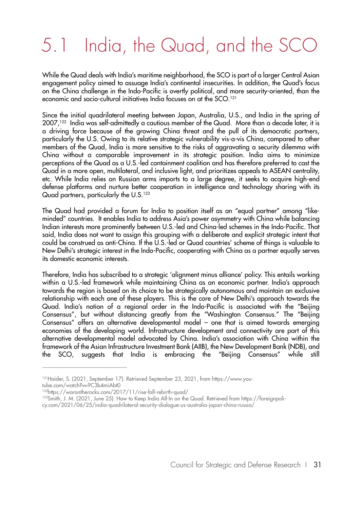## 5.1 India, the Quad, and the SCO

While the Quad deals with India's maritime neighborhood, the SCO is part of a larger Central Asian engagement policy aimed to assuage India's continental insecurities. In addition, the Quad's focus on the China challenge in the Indo-Pacific is overtly political, and more security-oriented, than the economic and socio-cultural initiatives India focuses on at the SCO.121

Since the initial quadrilateral meeting between Japan, Australia, U.S., and India in the spring of 2007,122 India was self-admittedly a cautious member of the Quad. More than a decade later, it is a driving force because of the growing China threat and the pull of its democratic partners, particularly the U.S. Owing to its relative strategic vulnerability vis-a-vis China, compared to other members of the Quad, India is more sensitive to the risks of aggravating a security dilemma with China without a comparable improvement in its strategic position. India aims to minimize perceptions of the Quad as a U.S.-led containment coalition and has therefore preferred to cast the Quad in a more open, multilateral, and inclusive light, and prioritizes appeals to ASEAN centrality, etc. While India relies on Russian arms imports to a large degree, it seeks to acquire high-end defense platforms and nurture better cooperation in intelligence and technology sharing with its Quad partners, particularly the U.S.<sup>123</sup>

The Quad had provided a forum for India to position itself as an "equal partner" among "likeminded" countries. It enables India to address Asia's power asymmetry with China while balancing Indian interests more prominently between U.S.-led and China-led schemes in the Indo-Pacific. That said, India does not want to assign this grouping with a deliberate and explicit strategic intent that could be construed as anti-China. If the U.S.-led or Quad countries' scheme of things is valuable to New Delhi's strategic interest in the Indo-Pacific, cooperating with China as a partner equally serves its domestic economic interests.

Therefore, India has subscribed to a strategic 'alignment minus alliance' policy. This entails working within a U.S.-led framework while maintaining China as an economic partner. India's approach towards the region is based on its choice to be strategically autonomous and maintain an exclusive relationship with each one of these players. This is the core of New Delhi's approach towards the Quad. India's notion of a regional order in the Indo-Pacific is associated with the "Beijing Consensus", but without distancing greatly from the "Washington Consensus." The "Beijing Consensus" offers an alternative developmental model – one that is aimed towards emerging economies of the developing world. Infrastructure development and connectivity are part of this alternative developmental model advocated by China. India's association with China within the framework of the Asian Infrastructure Investment Bank (AIIB), the New Development Bank (NDB), and the SCO, suggests that India is embracing the "Beijing Consensus" while still

tube.com/watch?v=9C3b4miAbt0

<sup>&</sup>lt;sup>121</sup>Haider, S. (2021, September 17). Retrieved September 23, 2021, from https://www.you-

<sup>122</sup>https://warontherocks.com/2017/11/rise-fall-rebirth-quad/

<sup>123</sup>Smith, J. M. (2021, June 25). How to Keep India All-In on the Quad. Retrieved from https://foreignpoli-

cy.com/2021/06/25/india-quadrilateral-security-dialogue-us-australia-japan-china-russia/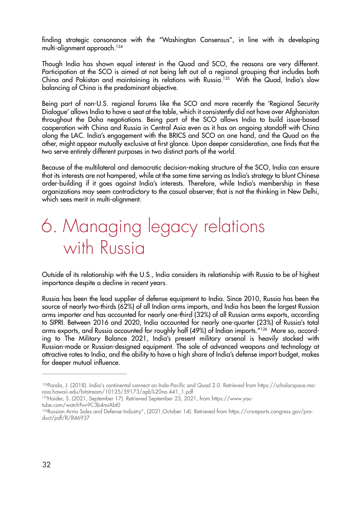finding strategic consonance with the "Washington Consensus", in line with its developing multi-alignment approach.124

Though India has shown equal interest in the Quad and SCO, the reasons are very different. Participation at the SCO is aimed at not being left out of a regional grouping that includes both China and Pakistan and maintaining its relations with Russia.<sup>125</sup> With the Quad, India's slow balancing of China is the predominant objective.

Being part of non-U.S. regional forums like the SCO and more recently the 'Regional Security Dialogue' allows India to have a seat at the table, which it consistently did not have over Afghanistan throughout the Doha negotiations. Being part of the SCO allows India to build issue-based cooperation with China and Russia in Central Asia even as it has an ongoing standoff with China along the LAC. India's engagement with the BRICS and SCO on one hand, and the Quad on the other, might appear mutually exclusive at first glance. Upon deeper consideration, one finds that the two serve entirely different purposes in two distinct parts of the world.

Because of the multilateral and democratic decision-making structure of the SCO, India can ensure that its interests are not hampered, while at the same time serving as India's strategy to blunt Chinese order-building if it goes against India's interests. Therefore, while India's membership in these organizations may seem contradictory to the casual observer, that is not the thinking in New Delhi, which sees merit in multi-alignment.

### 6. Managing legacy relations with Russia

Outside of its relationship with the U.S., India considers its relationship with Russia to be of highest importance despite a decline in recent years.

Russia has been the lead supplier of defense equipment to India. Since 2010, Russia has been the source of nearly two-thirds (62%) of all Indian arms imports, and India has been the largest Russian arms importer and has accounted for nearly one-third (32%) of all Russian arms exports, according to SIPRI. Between 2016 and 2020, India accounted for nearly one-quarter (23%) of Russia's total arms exports, and Russia accounted for roughly half (49%) of Indian imports."126 More so, according to The Military Balance 2021, India's present military arsenal is heavily stocked with Russian-made or Russian-designed equipment. The sale of advanced weapons and technology at attractive rates to India, and the ability to have a high share of India's defense import budget, makes for deeper mutual influence.

<sup>124</sup>Panda, J. (2018). India's continental connect on Indo-Pacific and Quad 2.0. Retrieved from https://scholarspace.manoa.hawaii.edu/bitstream/10125/59173/apb%20no.441\_1.pdf

<sup>125</sup>Haider, S. (2021, September 17). Retrieved September 23, 2021, from https://www.you-

tube.com/watch?v=9C3b4miAbt0

<sup>126</sup>Russian Arms Sales and Defense Industry", (2021,October 14). Retrieved from https://crsreports.congress.gov/product/pdf/R/R46937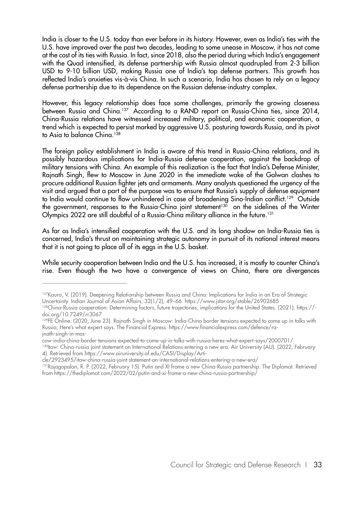India is closer to the U.S. today than ever before in its history. However, even as India's ties with the U.S. have improved over the past two decades, leading to some unease in Moscow, it has not come at the cost of its ties with Russia. In fact, since 2018, also the period during which India's engagement with the Quad intensified, its defense partnership with Russia almost quadrupled from 2-3 billion USD to 9-10 billion USD, making Russia one of India's top defense partners. This growth has reflected India's anxieties vis-à-vis China. In such a scenario, India has chosen to rely on a legacy defense partnership due to its dependence on the Russian defense-industry complex.

However, this legacy relationship does face some challenges, primarily the growing closeness between Russia and China.<sup>127</sup> According to a RAND report on Russia-China ties, since 2014, China-Russia relations have witnessed increased military, political, and economic cooperation, a trend which is expected to persist marked by aggressive U.S. posturing towards Russia, and its pivot to Asia to balance China.<sup>128</sup>

The foreign policy establishment in India is aware of this trend in Russia-China relations, and its possibly hazardous implications for India-Russia defense cooperation, against the backdrop of military tensions with China. An example of this realization is the fact that India's Defense Minister, Rajnath Singh, flew to Moscow in June 2020 in the immediate wake of the Galwan clashes to procure additional Russian fighter jets and armaments. Many analysts questioned the urgency of the visit and argued that a part of the purpose was to ensure that Russia's supply of defense equipment to India would continue to flow unhindered in case of broadening Sino-Indian conflict.<sup>129</sup> Outside the government, responses to the Russia-China joint statement<sup>130</sup> on the sidelines of the Winter Olympics 2022 are still doubtful of a Russia-China military alliance in the future.<sup>131</sup>

As far as India's intensified cooperation with the U.S. and its long shadow on India-Russia ties is concerned, India's thrust on maintaining strategic autonomy in pursuit of its national interest means that it is not going to place all of its eggs in the U.S. basket.

While security cooperation between India and the U.S. has increased, it is mostly to counter China's rise. Even though the two have a convergence of views on China, there are divergences

cow-india-china-border-tensions-expected-to-come-up-in-talks-with-russia-heres-what-expert-says/2000701/

<sup>127</sup>Kaura, V. (2019). Deepening Relationship between Russia and China: Implications for India in an Era of Strategic Uncertainty. Indian Journal of Asian Affairs, 32(1/2), 49–66. https://www.jstor.org/stable/26902685

<sup>128</sup>China-Russia cooperation: Determining factors, future trajectories, implications for the United States. (2021). https://doi.org/10.7249/rr3067

<sup>&</sup>lt;sup>129</sup>FE Online. (2020, June 23). Rajnath Singh in Moscow: India-China border tensions expected to come up in talks with Russia; Here's what expert says. The Financial Express. https://www.financialexpress.com/defence/rajnath-singh-in-mos-

<sup>130</sup>Itow: China-russia joint statement on International Relations entering a new era. Air University (AU). (2022, February 4). Retrieved from https://www.airuniversity.af.edu/CASI/Display/Arti-

cle/2923495/itow-china-russia-joint-statement-on-international-relations-entering-a-new-era/

<sup>131</sup>Rajagopalan, R. P. (2022, February 15). Putin and XI frame a new China-Russia partnership. The Diplomat. Retrieved from https://thediplomat.com/2022/02/putin-and-xi-frame-a-new-china-russia-partnership/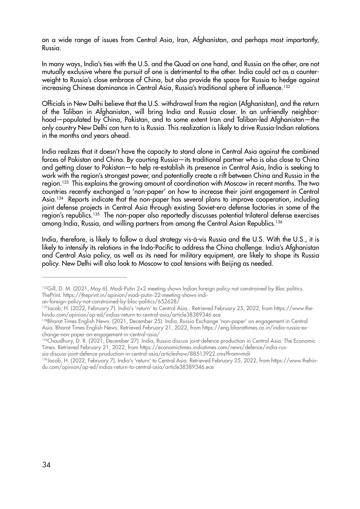on a wide range of issues from Central Asia, Iran, Afghanistan, and perhaps most importantly, Russia.

In many ways, India's ties with the U.S. and the Quad on one hand, and Russia on the other, are not mutually exclusive where the pursuit of one is detrimental to the other. India could act as a counterweight to Russia's close embrace of China, but also provide the space for Russia to hedge against increasing Chinese dominance in Central Asia, Russia's traditional sphere of influence.<sup>132</sup>

Officials in New Delhi believe that the U.S. withdrawal from the region (Afghanistan), and the return of the Taliban in Afghanistan, will bring India and Russia closer. In an unfriendly neighborhood—populated by China, Pakistan, and to some extent Iran and Taliban-led Afghanistan—the only country New Delhi can turn to is Russia. This realization is likely to drive Russia-Indian relations in the months and years ahead.

India realizes that it doesn't have the capacity to stand alone in Central Asia against the combined forces of Pakistan and China. By courting Russia—its traditional partner who is also close to China and getting closer to Pakistan—to help re-establish its presence in Central Asia, India is seeking to work with the region's strongest power, and potentially create a rift between China and Russia in the region.<sup>133</sup> This explains the growing amount of coordination with Moscow in recent months. The two countries recently exchanged a 'non-paper' on how to increase their joint engagement in Central Asia.134 Reports indicate that the non-paper has several plans to improve cooperation, including joint defense projects in Central Asia through existing Soviet-era defense factories in some of the region's republics.135 The non-paper also reportedly discusses potential trilateral defense exercises among India, Russia, and willing partners from among the Central Asian Republics.136

India, therefore, is likely to follow a dual strategy vis-à-vis Russia and the U.S. With the U.S., it is likely to intensify its relations in the Indo-Pacific to address the China challenge. India's Afghanistan and Central Asia policy, as well as its need for military equipment, are likely to shape its Russia policy. New Delhi will also look to Moscow to cool tensions with Beijing as needed.

an-foreign-policy-not-constrained-by-bloc-politics/652628/

<sup>&</sup>lt;sup>132</sup>Gill, D. M. (2021, May 6). Modi-Putin 2+2 meeting shows Indian foreign policy not constrained by Bloc politics. ThePrint. https://theprint.in/opinion/modi-putin-22-meeting-shows-indi-

<sup>133</sup>Jacob, H. (2022, February 7). India's 'return' to Central Asia.. Retrieved February 25, 2022, from https://www.thehindu.com/opinion/op-ed/indias-return-to-central-asia/article38389346.ece

<sup>134</sup>Bharat Times English News. (2021, December 25). India, Russia Exchange 'non-paper' on engagement in Central Asia. Bharat Times English News. Retrieved February 21, 2022, from https://eng.bharattimes.co.in/india-russia-exchange-non-paper-on-engagement-in-central-asia/

<sup>&</sup>lt;sup>135</sup>Chaudhury, D. R. (2021, December 27). India, Russia discuss joint defence production in Central Asia. The Economic Times. Retrieved February 21, 2022, from https://economictimes.indiatimes.com/news/defence/india-russia-discuss-joint-defence-production-in-central-asia/articleshow/88513922.cms?from=mdr

<sup>136</sup>Jacob, H. (2022, February 7). India's 'return' to Central Asia. Retrieved February 25, 2022, from https://www.thehindu.com/opinion/op-ed/indias-return-to-central-asia/article38389346.ece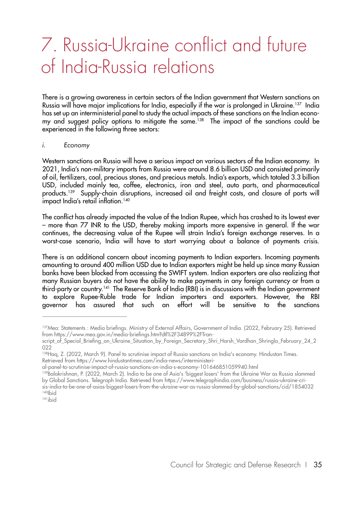### 7. Russia-Ukraine conflict and future of India-Russia relations

There is a growing awareness in certain sectors of the Indian government that Western sanctions on Russia will have major implications for India, especially if the war is prolonged in Ukraine.137 India has set up an interministerial panel to study the actual impacts of these sanctions on the Indian economy and suggest policy options to mitigate the same.<sup>138</sup> The impact of the sanctions could be experienced in the following three sectors:

#### *i. Economy*

Western sanctions on Russia will have a serious impact on various sectors of the Indian economy. In 2021, India's non-military imports from Russia were around 8.6 billion USD and consisted primarily of oil, fertilizers, coal, precious stones, and precious metals. India's exports, which totaled 3.3 billion USD, included mainly tea, coffee, electronics, iron and steel, auto parts, and pharmaceutical products.139 Supply-chain disruptions, increased oil and freight costs, and closure of ports will impact India's retail inflation.<sup>140</sup>

The conflict has already impacted the value of the Indian Rupee, which has crashed to its lowest ever – more than 77 INR to the USD, thereby making imports more expensive in general. If the war continues, the decreasing value of the Rupee will strain India's foreign exchange reserves. In a worst-case scenario, India will have to start worrying about a balance of payments crisis.

There is an additional concern about incoming payments to Indian exporters. Incoming payments amounting to around 400 million USD due to Indian exporters might be held up since many Russian banks have been blocked from accessing the SWIFT system. Indian exporters are also realizing that many Russian buyers do not have the ability to make payments in any foreign currency or from a third-party or country.141 The Reserve Bank of India (RBI) is in discussions with the Indian government to explore Rupee-Ruble trade for Indian importers and exporters. However, the RBI governor has assured that such an effort will be sensitive to the sanctions

<sup>137</sup>Mea: Statements : Media briefings. Ministry of External Affairs, Government of India. (2022, February 25). Retrieved from https://www.mea.gov.in/media-briefings.htm?dtl%2F34899%2FTran-

script of Special Briefing on Ukraine Situation by Foreign Secretary Shri Harsh Vardhan Shringla February 24 2 022

<sup>138</sup>Haq, Z. (2022, March 9). Panel to scrutinise impact of Russia sanctions on India's economy. Hindustan Times. Retrieved from https://www.hindustantimes.com/india-news/interministeri-

al-panel-to-scrutinise-impact-of-russia-sanctions-on-india-s-economy-101646851059940.html

<sup>139</sup>Balakrishnan, P. (2022, March 2). India to be one of Asia's 'biggest losers' from the Ukraine War as Russia slammed by Global Sanctions. Telegraph India. Retrieved from https://www.telegraphindia.com/business/russia-ukraine-crisis-india-to-be-one-of-asias-biggest-losers-from-the-ukraine-war-as-russia-slammed-by-global-sanctions/cid/1854032 140<sub>Ibid</sub>

<sup>141</sup>ibid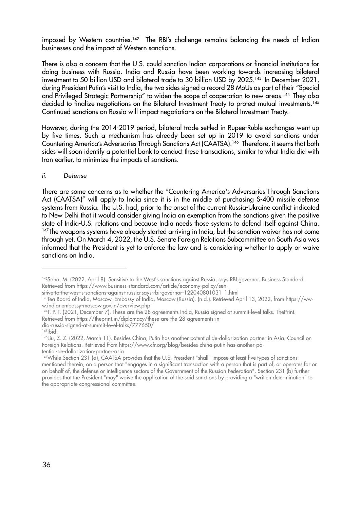imposed by Western countries.<sup>142</sup> The RBI's challenge remains balancing the needs of Indian businesses and the impact of Western sanctions.

There is also a concern that the U.S. could sanction Indian corporations or financial institutions for doing business with Russia. India and Russia have been working towards increasing bilateral investment to 50 billion USD and bilateral trade to 30 billion USD by 2025.<sup>143</sup> In December 2021, during President Putin's visit to India, the two sides signed a record 28 MoUs as part of their "Special and Privileged Strategic Partnership" to widen the scope of cooperation to new areas.<sup>144</sup> They also decided to finalize negotiations on the Bilateral Investment Treaty to protect mutual investments.<sup>145</sup> Continued sanctions on Russia will impact negotiations on the Bilateral Investment Treaty.

However, during the 2014-2019 period, bilateral trade settled in Rupee-Ruble exchanges went up by five times. Such a mechanism has already been set up in 2019 to avoid sanctions under Countering America's Adversaries Through Sanctions Act (CAATSA).146 Therefore, it seems that both sides will soon identify a potential bank to conduct these transactions, similar to what India did with Iran earlier, to minimize the impacts of sanctions.

#### *ii. Defense*

There are some concerns as to whether the "Countering America's Adversaries Through Sanctions Act (CAATSA)" will apply to India since it is in the middle of purchasing S-400 missile defense systems from Russia. The U.S. had, prior to the onset of the current Russia-Ukraine conflict indicated to New Delhi that it would consider giving India an exemption from the sanctions given the positive state of India-U.S. relations and because India needs those systems to defend itself against China. <sup>147</sup>The weapons systems have already started arriving in India, but the sanction waiver has not come through yet. On March 4, 2022, the U.S. Senate Foreign Relations Subcommittee on South Asia was informed that the President is yet to enforce the law and is considering whether to apply or waive sanctions on India.

<sup>&</sup>lt;sup>142</sup>Saha, M. (2022, April 8). Sensitive to the West's sanctions against Russia, says RBI governor. Business Standard. Retrieved from https://www.business-standard.com/article/economy-policy/sen-

sitive-to-the-west-s-sanctions-against-russia-says-rbi-governor-122040801031\_1.html

<sup>143</sup>Tea Board of India, Moscow. Embassy of India, Moscow (Russia). (n.d.). Retrieved April 13, 2022, from https://www.indianembassy-moscow.gov.in/overview.php

<sup>144</sup>T. P. T. (2021, December 7). These are the 28 agreements India, Russia signed at summit-level talks. ThePrint. Retrieved from https://theprint.in/diplomacy/these-are-the-28-agreements-in-

dia-russia-signed-at-summit-level-talks/777650/

 $145$ bid.

<sup>146</sup>Liu, Z. Z. (2022, March 11). Besides China, Putin has another potential de-dollarization partner in Asia. Council on Foreign Relations. Retrieved from https://www.cfr.org/blog/besides-china-putin-has-another-potential-de-dollarization-partner-asia

<sup>&</sup>lt;sup>147</sup>While Section 231 (a), CAATSA provides that the U.S. President "shall" impose at least five types of sanctions mentioned therein, on a person that "engages in a significant transaction with a person that is part of, or operates for or on behalf of, the defense or intelligence sectors of the Government of the Russian Federation", Section 231 (b) further provides that the President "may" waive the application of the said sanctions by providing a "written determination" to the appropriate congressional committee.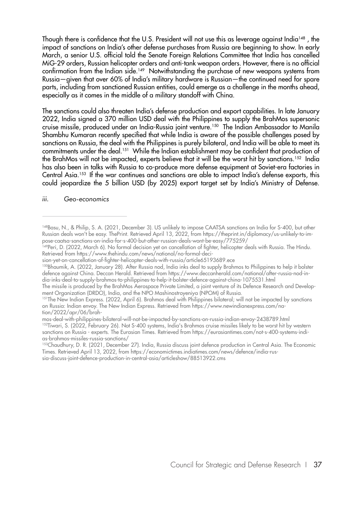Though there is confidence that the U.S. President will not use this as leverage against India<sup>148</sup>, the impact of sanctions on India's other defense purchases from Russia are beginning to show. In early March, a senior U.S. official told the Senate Foreign Relations Committee that India has cancelled MiG-29 orders, Russian helicopter orders and anti-tank weapon orders. However, there is no official confirmation from the Indian side.<sup>149</sup> Notwithstanding the purchase of new weapons systems from Russia—given that over 60% of India's military hardware is Russian—the continued need for spare parts, including from sanctioned Russian entities, could emerge as a challenge in the months ahead, especially as it comes in the middle of a military standoff with China.

The sanctions could also threaten India's defense production and export capabilities. In late January 2022, India signed a 370 million USD deal with the Philippines to supply the BrahMos supersonic cruise missile, produced under an India-Russia joint venture.150 The Indian Ambassador to Manila Shambhu Kumaran recently specified that while India is aware of the possible challenges posed by sanctions on Russia, the deal with the Philippines is purely bilateral, and India will be able to meet its commitments under the deal.151 While the Indian establishment may be confident that production of the BrahMos will not be impacted, experts believe that it will be the worst hit by sanctions.<sup>152</sup> India has also been in talks with Russia to co-produce more defense equipment at Soviet-era factories in Central Asia.<sup>153</sup> If the war continues and sanctions are able to impact India's defense exports, this could jeopardize the 5 billion USD (by 2025) export target set by India's Ministry of Defense.

#### *iii. Geo-economics*

The missile is produced by the BrahMos Aerospace Private Limited, a joint venture of its Defence Research and Development Organization (DRDO), India, and the NPO Mashinostroyeniya (NPOM) of Russia.

<sup>148</sup>Basu, N., & Philip, S. A. (2021, December 3). US unlikely to impose CAATSA sanctions on India for S-400, but other Russian deals won't be easy. ThePrint. Retrieved April 13, 2022, from https://theprint.in/diplomacy/us-unlikely-to-impose-caatsa-sanctions-on-india-for-s-400-but-other-russian-deals-wont-be-easy/775259/

<sup>149</sup>Peri, D. (2022, March 6). No formal decision yet on cancellation of fighter, helicopter deals with Russia. The Hindu. Retrieved from https://www.thehindu.com/news/national/no-formal-deci-

sion-yet-on-cancellation-of-fighter-helicopter-deals-with-russia/article65193689.ece

<sup>150</sup>Bhaumik, A. (2022, January 28). After Russia nod, India inks deal to supply Brahmos to Philippines to help it bolster defence against China. Deccan Herald. Retrieved from https://www.deccanherald.com/national/after-russia-nod-india-inks-deal-to-supply-brahmos-to-philippines-to-help-it-bolster-defence-against-china-1075531.html

<sup>151</sup>The New Indian Express. (2022, April 6). Brahmos deal with Philippines bilateral; will not be impacted by sanctions on Russia: Indian envoy. The New Indian Express. Retrieved from https://www.newindianexpress.com/nation/2022/apr/06/brah-

mos-deal-with-philippines-bilateral-will-not-be-impacted-by-sanctions-on-russia-indian-envoy-2438789.html <sup>152</sup>Tiwari, S. (2022, February 26). Not S-400 systems, India's Brahmos cruise missiles likely to be worst hit by western sanctions on Russia - experts. The Eurasian Times. Retrieved from https://eurasiantimes.com/not-s-400-systems-indias-brahmos-missiles-russia-sanctions/

<sup>153</sup>Chaudhury, D. R. (2021, December 27). India, Russia discuss joint defence production in Central Asia. The Economic Times. Retrieved April 13, 2022, from https://economictimes.indiatimes.com/news/defence/india-russia-discuss-joint-defence-production-in-central-asia/articleshow/88513922.cms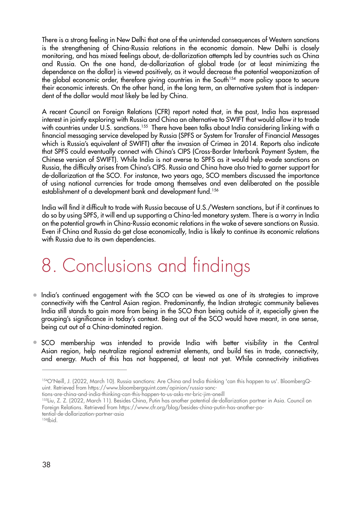There is a strong feeling in New Delhi that one of the unintended consequences of Western sanctions is the strengthening of China-Russia relations in the economic domain. New Delhi is closely monitoring, and has mixed feelings about, de-dollarization attempts led by countries such as China and Russia. On the one hand, de-dollarization of global trade (or at least minimizing the dependence on the dollar) is viewed positively, as it would decrease the potential weaponization of the global economic order, therefore giving countries in the South<sup>154</sup> more policy space to secure their economic interests. On the other hand, in the long term, an alternative system that is independent of the dollar would most likely be led by China.

A recent Council on Foreign Relations (CFR) report noted that, in the past, India has expressed interest in jointly exploring with Russia and China an alternative to SWIFT that would allow it to trade with countries under U.S. sanctions.<sup>155</sup> There have been talks about India considering linking with a financial messaging service developed by Russia (SPFS or System for Transfer of Financial Messages which is Russia's equivalent of SWIFT) after the invasion of Crimea in 2014. Reports also indicate that SPFS could eventually connect with China's CIPS (Cross-Border Interbank Payment System, the Chinese version of SWIFT). While India is not averse to SPFS as it would help evade sanctions on Russia, the difficulty arises from China's CIPS. Russia and China have also tried to garner support for de-dollarization at the SCO. For instance, two years ago, SCO members discussed the importance of using national currencies for trade among themselves and even deliberated on the possible establishment of a development bank and development fund.156

India will find it difficult to trade with Russia because of U.S./Western sanctions, but if it continues to do so by using SPFS, it will end up supporting a China-led monetary system. There is a worry in India on the potential growth in China-Russia economic relations in the wake of severe sanctions on Russia. Even if China and Russia do get close economically, India is likely to continue its economic relations with Russia due to its own dependencies.

### 8. Conclusions and findings

- $\bullet$  India's continued engagement with the SCO can be viewed as one of its strategies to improve connectivity with the Central Asian region. Predominantly, the Indian strategic community believes India still stands to gain more from being in the SCO than being outside of it, especially given the grouping's significance in today's context. Being out of the SCO would have meant, in one sense, being cut out of a China-dominated region.
- SCO membership was intended to provide India with better visibility in the Central Asian region, help neutralize regional extremist elements, and build ties in trade, connectivity, and energy. Much of this has not happened, at least not yet. While connectivity initiatives

- tions-are-china-and-india-thinking-can-this-happen-to-us-asks-mr-bric-jim-oneill
- 155Liu, Z. Z. (2022, March 11). Besides China, Putin has another potential de-dollarization partner in Asia. Council on Foreign Relations. Retrieved from https://www.cfr.org/blog/besides-china-putin-has-another-potential-de-dollarization-partner-asia

<sup>154</sup>O'Neill, J. (2022, March 10). Russia sanctions: Are China and India thinking 'can this happen to us'. BloombergQuint. Retrieved from https://www.bloombergquint.com/opinion/russia-sanc-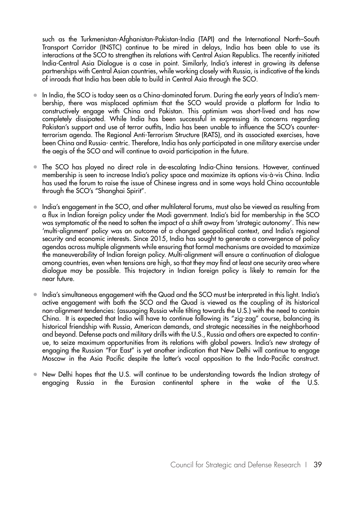such as the Turkmenistan-Afghanistan-Pakistan-India (TAPI) and the International North–South Transport Corridor (INSTC) continue to be mired in delays, India has been able to use its interactions at the SCO to strengthen its relations with Central Asian Republics. The recently initiated India-Central Asia Dialogue is a case in point. Similarly, India's interest in growing its defense partnerships with Central Asian countries, while working closely with Russia, is indicative of the kinds of inroads that India has been able to build in Central Asia through the SCO.

- In India, the SCO is today seen as a China-dominated forum. During the early years of India's membership, there was misplaced optimism that the SCO would provide a platform for India to constructively engage with China and Pakistan. This optimism was short-lived and has now completely dissipated. While India has been successful in expressing its concerns regarding Pakistan's support and use of terror outfits, India has been unable to influence the SCO's counterterrorism agenda. The Regional Anti-Terrorism Structure (RATS), and its associated exercises, have been China and Russia- centric. Therefore, India has only participated in one military exercise under the aegis of the SCO and will continue to avoid participation in the future.
- The SCO has played no direct role in de-escalating India-China tensions. However, continued membership is seen to increase India's policy space and maximize its options vis-à-vis China. India has used the forum to raise the issue of Chinese ingress and in some ways hold China accountable through the SCO's "Shanghai Spirit".
- India's engagement in the SCO, and other multilateral forums, must also be viewed as resulting from a flux in Indian foreign policy under the Modi government. India's bid for membership in the SCO was symptomatic of the need to soften the impact of a shift away from 'strategic autonomy'. This new 'multi-alignment' policy was an outcome of a changed geopolitical context, and India's regional security and economic interests. Since 2015, India has sought to generate a convergence of policy agendas across multiple alignments while ensuring that formal mechanisms are avoided to maximize the maneuverability of Indian foreign policy. Multi-alignment will ensure a continuation of dialogue among countries, even when tensions are high, so that they may find at least one security area where dialogue may be possible. This trajectory in Indian foreign policy is likely to remain for the near future.
- India's simultaneous engagement with the Quad and the SCO must be interpreted in this light. India's active engagement with both the SCO and the Quad is viewed as the coupling of its historical non-alignment tendencies: (assuaging Russia while tilting towards the U.S.) with the need to contain China. It is expected that India will have to continue following its "zig-zag" course, balancing its historical friendship with Russia, American demands, and strategic necessities in the neighborhood and beyond. Defense pacts and military drills with the U.S., Russia and others are expected to continue, to seize maximum opportunities from its relations with global powers. India's new strategy of engaging the Russian "Far East" is yet another indication that New Delhi will continue to engage Moscow in the Asia Pacific despite the latter's vocal opposition to the Indo-Pacific construct.
- New Delhi hopes that the U.S. will continue to be understanding towards the Indian strategy of engaging Russia in the Eurasian continental sphere in the wake of the U.S.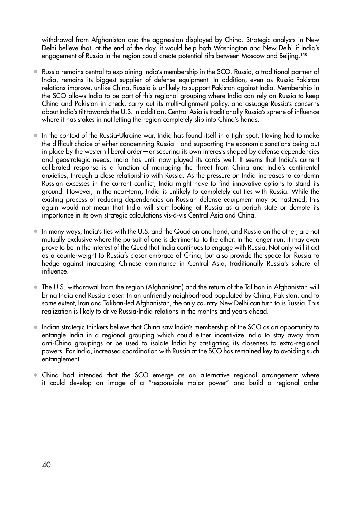withdrawal from Afghanistan and the aggression displayed by China. Strategic analysts in New Delhi believe that, at the end of the day, it would help both Washington and New Delhi if India's engagement of Russia in the region could create potential rifts between Moscow and Beijing.<sup>158</sup>

- Russia remains central to explaining India's membership in the SCO. Russia, a traditional partner of India, remains its biggest supplier of defense equipment. In addition, even as Russia-Pakistan relations improve, unlike China, Russia is unlikely to support Pakistan against India. Membership in the SCO allows India to be part of this regional grouping where India can rely on Russia to keep China and Pakistan in check, carry out its multi-alignment policy, and assuage Russia's concerns about India's tilt towards the U.S. In addition, Central Asia is traditionally Russia's sphere of influence where it has stakes in not letting the region completely slip into China's hands.
- In the context of the Russia-Ukraine war, India has found itself in a tight spot. Having had to make the difficult choice of either condemning Russia—and supporting the economic sanctions being put in place by the western liberal order—or securing its own interests shaped by defense dependencies and geostrategic needs, India has until now played its cards well. It seems that India's current calibrated response is a function of managing the threat from China and India's continental anxieties, through a close relationship with Russia. As the pressure on India increases to condemn Russian excesses in the current conflict, India might have to find innovative options to stand its ground. However, in the near-term, India is unlikely to completely cut ties with Russia. While the existing process of reducing dependencies on Russian defense equipment may be hastened, this again would not mean that India will start looking at Russia as a pariah state or demote its importance in its own strategic calculations vis-à-vis Central Asia and China.
- In many ways, India's ties with the U.S. and the Quad on one hand, and Russia on the other, are not mutually exclusive where the pursuit of one is detrimental to the other. In the longer run, it may even prove to be in the interest of the Quad that India continues to engage with Russia. Not only will it act as a counterweight to Russia's closer embrace of China, but also provide the space for Russia to hedge against increasing Chinese dominance in Central Asia, traditionally Russia's sphere of influence.
- The U.S. withdrawal from the region (Afghanistan) and the return of the Taliban in Afghanistan will bring India and Russia closer. In an unfriendly neighborhood populated by China, Pakistan, and to some extent, Iran and Taliban-led Afghanistan, the only country New Delhi can turn to is Russia. This realization is likely to drive Russia-India relations in the months and years ahead.
- Indian strategic thinkers believe that China saw India's membership of the SCO as an opportunity to entangle India in a regional grouping which could either incentivize India to stay away from anti-China groupings or be used to isolate India by castigating its closeness to extra-regional powers. For India, increased coordination with Russia at the SCO has remained key to avoiding such entanglement.
- China had intended that the SCO emerge as an alternative regional arrangement where it could develop an image of a "responsible major power" and build a regional order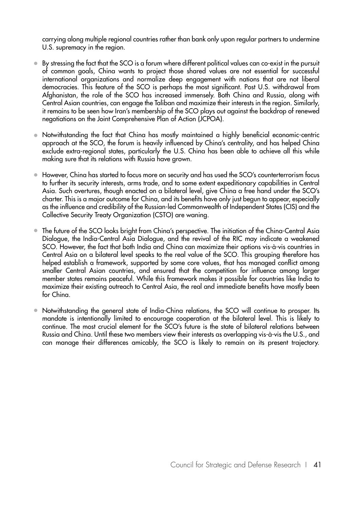carrying along multiple regional countries rather than bank only upon regular partners to undermine U.S. supremacy in the region.

- By stressing the fact that the SCO is a forum where different political values can co-exist in the pursuit of common goals, China wants to project those shared values are not essential for successful international organizations and normalize deep engagement with nations that are not liberal democracies. This feature of the SCO is perhaps the most significant. Post U.S. withdrawal from Afghanistan, the role of the SCO has increased immensely. Both China and Russia, along with Central Asian countries, can engage the Taliban and maximize their interests in the region. Similarly, it remains to be seen how Iran's membership of the SCO plays out against the backdrop of renewed negotiations on the Joint Comprehensive Plan of Action (JCPOA).
- Notwithstanding the fact that China has mostly maintained a highly beneficial economic-centric approach at the SCO, the forum is heavily influenced by China's centrality, and has helped China exclude extra-regional states, particularly the U.S. China has been able to achieve all this while making sure that its relations with Russia have grown.
- However, China has started to focus more on security and has used the SCO's counterterrorism focus to further its security interests, arms trade, and to some extent expeditionary capabilities in Central Asia. Such overtures, though enacted on a bilateral level, give China a free hand under the SCO's charter. This is a major outcome for China, and its benefits have only just begun to appear, especially as the influence and credibility of the Russian-led Commonwealth of Independent States (CIS) and the Collective Security Treaty Organization (CSTO) are waning.
- The future of the SCO looks bright from China's perspective. The initiation of the China-Central Asia Dialogue, the India-Central Asia Dialogue, and the revival of the RIC may indicate a weakened SCO. However, the fact that both India and China can maximize their options vis-à-vis countries in Central Asia on a bilateral level speaks to the real value of the SCO. This grouping therefore has helped establish a framework, supported by some core values, that has managed conflict among smaller Central Asian countries, and ensured that the competition for influence among larger member states remains peaceful. While this framework makes it possible for countries like India to maximize their existing outreach to Central Asia, the real and immediate benefits have mostly been for China.
- Notwithstanding the general state of India-China relations, the SCO will continue to prosper. Its mandate is intentionally limited to encourage cooperation at the bilateral level. This is likely to continue. The most crucial element for the SCO's future is the state of bilateral relations between Russia and China. Until these two members view their interests as overlapping vis-à-vis the U.S., and can manage their differences amicably, the SCO is likely to remain on its present trajectory.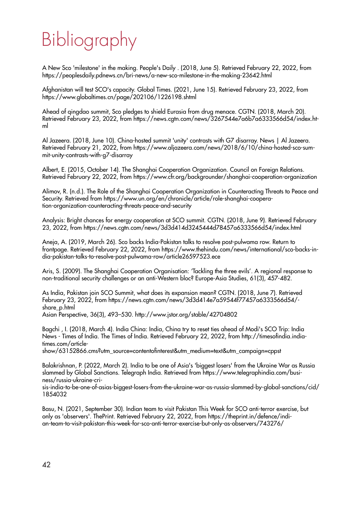# Bibliography

A New Sco 'milestone' in the making. People's Daily . (2018, June 5). Retrieved February 22, 2022, from https://peoplesdaily.pdnews.cn/bri-news/a-new-sco-milestone-in-the-making-23642.html

Afghanistan will test SCO's capacity. Global Times. (2021, June 15). Retrieved February 23, 2022, from https://www.globaltimes.cn/page/202106/1226198.shtml

Ahead of qingdao summit, Sco pledges to shield Eurasia from drug menace. CGTN. (2018, March 20). Retrieved February 23, 2022, from https://news.cgtn.com/news/3267544e7a6b7a6333566d54/index.html

Al Jazeera. (2018, June 10). China-hosted summit 'unity' contrasts with G7 disarray. News | Al Jazeera. Retrieved February 21, 2022, from https://www.aljazeera.com/news/2018/6/10/china-hosted-sco-summit-unity-contrasts-with-g7-disarray

Albert, E. (2015, October 14). The Shanghai Cooperation Organization. Council on Foreign Relations. Retrieved February 22, 2022, from https://www.cfr.org/backgrounder/shanghai-cooperation-organization

Alimov, R. (n.d.). The Role of the Shanghai Cooperation Organization in Counteracting Threats to Peace and Security. Retrieved from https://www.un.org/en/chronicle/article/role-shanghai-cooperation-organization-counteracting-threats-peace-and-security

Analysis: Bright chances for energy cooperation at SCO summit. CGTN. (2018, June 9). Retrieved February 23, 2022, from https://news.cgtn.com/news/3d3d414d3245444d78457a6333566d54/index.html

Aneja, A. (2019, March 26). Sco backs India-Pakistan talks to resolve post-pulwama row. Return to frontpage. Retrieved February 22, 2022, from https://www.thehindu.com/news/international/sco-backs-india-pakistan-talks-to-resolve-post-pulwama-row/article26597523.ece

Aris, S. (2009). The Shanghai Cooperation Organisation: 'Tackling the three evils'. A regional response to non-traditional security challenges or an anti-Western bloc? Europe-Asia Studies, 61(3), 457-482.

As India, Pakistan join SCO Summit, what does its expansion mean? CGTN. (2018, June 7). Retrieved February 23, 2022, from https://news.cgtn.com/news/3d3d414e7a59544f77457a6333566d54/ share\_p.html

Asian Perspective, 36(3), 493–530. http://www.jstor.org/stable/42704802

Bagchi , I. (2018, March 4). India China: India, China try to reset ties ahead of Modi's SCO Trip: India News - Times of India. The Times of India. Retrieved February 22, 2022, from http://timesofindia.indiatimes.com/article-

show/63152866.cms?utm\_source=contentofinterest&utm\_medium=text&utm\_campaign=cppst

Balakrishnan, P. (2022, March 2). India to be one of Asia's 'biggest losers' from the Ukraine War as Russia slammed by Global Sanctions. Telegraph India. Retrieved from https://www.telegraphindia.com/business/russia-ukraine-cri-

sis-india-to-be-one-of-asias-biggest-losers-from-the-ukraine-war-as-russia-slammed-by-global-sanctions/cid/ 1854032

Basu, N. (2021, September 30). Indian team to visit Pakistan This Week for SCO anti-terror exercise, but only as 'observers'. ThePrint. Retrieved February 22, 2022, from https://theprint.in/defence/indian-team-to-visit-pakistan-this-week-for-sco-anti-terror-exercise-but-only-as-observers/743276/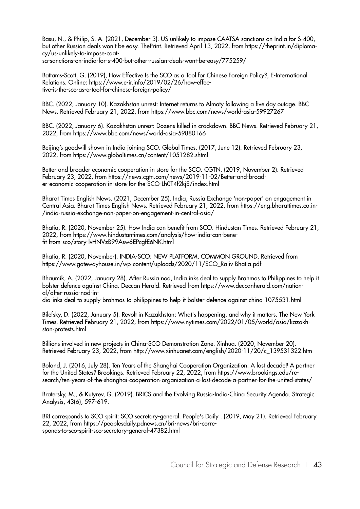Basu, N., & Philip, S. A. (2021, December 3). US unlikely to impose CAATSA sanctions on India for S-400, but other Russian deals won't be easy. ThePrint. Retrieved April 13, 2022, from https://theprint.in/diplomacy/us-unlikely-to-impose-caatsa-sanctions-on-india-for-s-400-but-other-russian-deals-wont-be-easy/775259/

Battams-Scott, G. (2019), How Effective Is the SCO as a Tool for Chinese Foreign Policy?, E-International Relations. Online: https://www.e-ir.info/2019/02/26/how-effective-is-the-sco-as-a-tool-for-chinese-foreign-policy/

BBC. (2022, January 10). Kazakhstan unrest: Internet returns to Almaty following a five day outage. BBC News. Retrieved February 21, 2022, from https://www.bbc.com/news/world-asia-59927267

BBC. (2022, January 6). Kazakhstan unrest: Dozens killed in crackdown. BBC News. Retrieved February 21, 2022, from https://www.bbc.com/news/world-asia-59880166

Beijing's goodwill shown in India joining SCO. Global Times. (2017, June 12). Retrieved February 23, 2022, from https://www.globaltimes.cn/content/1051282.shtml

Better and broader economic cooperation in store for the SCO. CGTN. (2019, November 2). Retrieved February 23, 2022, from https://news.cgtn.com/news/2019-11-02/Better-and-broader-economic-cooperation-in-store-for-the-SCO-Lh0T4f2kjS/index.html

Bharat Times English News. (2021, December 25). India, Russia Exchange 'non-paper' on engagement in Central Asia. Bharat Times English News. Retrieved February 21, 2022, from https://eng.bharattimes.co.in- /india-russia-exchange-non-paper-on-engagement-in-central-asia/

Bhatia, R. (2020, November 25). How India can benefit from SCO. Hindustan Times. Retrieved February 21, 2022, from https://www.hindustantimes.com/analysis/how-india-can-benefit-from-sco/story-lvHNVzB99Asw6EPcgfE6NK.html

Bhatia, R. (2020, November). INDIA-SCO: NEW PLATFORM, COMMON GROUND. Retrieved from https://www.gatewayhouse.in/wp-content/uploads/2020/11/SCO\_Rajiv-Bhatia.pdf

Bhaumik, A. (2022, January 28). After Russia nod, India inks deal to supply Brahmos to Philippines to help it bolster defence against China. Deccan Herald. Retrieved from https://www.deccanherald.com/national/after-russia-nod-in-

dia-inks-deal-to-supply-brahmos-to-philippines-to-help-it-bolster-defence-against-china-1075531.html

Bilefsky, D. (2022, January 5). Revolt in Kazakhstan: What's happening, and why it matters. The New York Times. Retrieved February 21, 2022, from https://www.nytimes.com/2022/01/05/world/asia/kazakhstan-protests.html

Billions involved in new projects in China-SCO Demonstration Zone. Xinhua. (2020, November 20). Retrieved February 23, 2022, from http://www.xinhuanet.com/english/2020-11/20/c\_139531322.htm

Boland, J. (2016, July 28). Ten Years of the Shanghai Cooperation Organization: A lost decade? A partner for the United States? Brookings. Retrieved February 22, 2022, from https://www.brookings.edu/research/ten-years-of-the-shanghai-cooperation-organization-a-lost-decade-a-partner-for-the-united-states/

Bratersky, M., & Kutyrev, G. (2019). BRICS and the Evolving Russia-India-China Security Agenda. Strategic Analysis, 43(6), 597-619.

BRI corresponds to SCO spirit: SCO secretary-general. People's Daily . (2019, May 21). Retrieved February 22, 2022, from https://peoplesdaily.pdnews.cn/bri-news/bri-corresponds-to-sco-spirit-sco-secretary-general-47382.html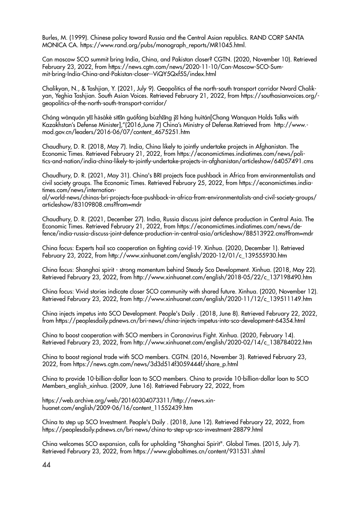Burles, M. (1999). Chinese policy toward Russia and the Central Asian republics. RAND CORP SANTA MONICA CA. https://www.rand.org/pubs/monograph\_reports/MR1045.html.

Can moscow SCO summit bring India, China, and Pakistan closer? CGTN. (2020, November 10). Retrieved February 23, 2022, from https://news.cgtn.com/news/2020-11-10/Can-Moscow-SCO-Summit-bring-India-China-and-Pakistan-closer--ViQY5Qxf5S/index.html

Chalikyan, N., & Tashjian, Y. (2021, July 9). Geopolitics of the north-south transport corridor Nvard Chalikyan, Yeghia Tashjian. South Asian Voices. Retrieved February 21, 2022, from https://southasianvoices.org/ geopolitics-of-the-north-south-transport-corridor/

Cháng wànquán y hāsàkè sīt n guófáng bùzh ng j háng huìtán[Chang Wanquan Holds Talks with Kazakhstan's Defense Minister],"(2016,June 7) China's Ministry of Defense.Retrieved from http://www. mod.gov.cn/leaders/2016-06/07/content\_4675251.htm

Chaudhury, D. R. (2018, May 7). India, China likely to jointly undertake projects in Afghanistan. The Economic Times. Retrieved February 21, 2022, from https://economictimes.indiatimes.com/news/politics-and-nation/india-china-likely-to-jointly-undertake-projects-in-afghanistan/articleshow/64057491.cms

Chaudhury, D. R. (2021, May 31). China's BRI projects face pushback in Africa from environmentalists and civil society groups. The Economic Times. Retrieved February 25, 2022, from https://economictimes.indiatimes.com/news/internation-

al/world-news/chinas-bri-projects-face-pushback-in-africa-from-environmentalists-and-civil-society-groups/ articleshow/83109808.cms?from=mdr

Chaudhury, D. R. (2021, December 27). India, Russia discuss joint defence production in Central Asia. The Economic Times. Retrieved February 21, 2022, from https://economictimes.indiatimes.com/news/defence/india-russia-discuss-joint-defence-production-in-central-asia/articleshow/88513922.cms?from=mdr

China focus: Experts hail sco cooperation on fighting covid-19. Xinhua. (2020, December 1). Retrieved February 23, 2022, from http://www.xinhuanet.com/english/2020-12/01/c\_139555930.htm

China focus: Shanghai spirit - strong momentum behind Steady Sco Development. Xinhua. (2018, May 22). Retrieved February 23, 2022, from http://www.xinhuanet.com/english/2018-05/22/c\_137198490.htm

China focus: Vivid stories indicate closer SCO community with shared future. Xinhua. (2020, November 12). Retrieved February 23, 2022, from http://www.xinhuanet.com/english/2020-11/12/c\_139511149.htm

China injects impetus into SCO Development. People's Daily . (2018, June 8). Retrieved February 22, 2022, from https://peoplesdaily.pdnews.cn/bri-news/china-injects-impetus-into-sco-development-64354.html

China to boost cooperation with SCO members in Coronavirus Fight. Xinhua. (2020, February 14). Retrieved February 23, 2022, from http://www.xinhuanet.com/english/2020-02/14/c\_138784022.htm

China to boost regional trade with SCO members. CGTN. (2016, November 3). Retrieved February 23, 2022, from https://news.cgtn.com/news/3d3d514f3059444f/share\_p.html

China to provide 10-billion-dollar loan to SCO members. China to provide 10-billion-dollar loan to SCO Members\_english\_xinhua. (2009, June 16). Retrieved February 22, 2022, from

https://web.archive.org/web/20160304073311/http://news.xinhuanet.com/english/2009-06/16/content\_11552439.htm

China to step up SCO Investment. People's Daily . (2018, June 12). Retrieved February 22, 2022, from https://peoplesdaily.pdnews.cn/bri-news/china-to-step-up-sco-investment-28879.html

China welcomes SCO expansion, calls for upholding "Shanghai Spirit". Global Times. (2015, July 7). Retrieved February 23, 2022, from https://www.globaltimes.cn/content/931531.shtml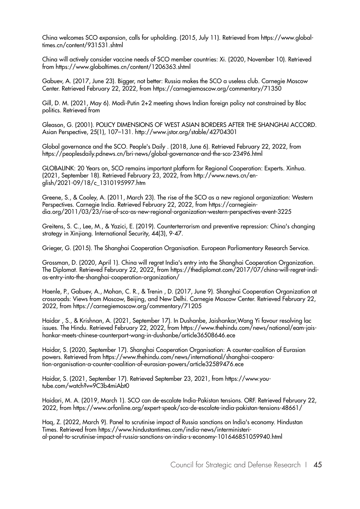China welcomes SCO expansion, calls for upholding. (2015, July 11). Retrieved from https://www.globaltimes.cn/content/931531.shtml

China will actively consider vaccine needs of SCO member countries: Xi. (2020, November 10). Retrieved from https://www.globaltimes.cn/content/1206363.shtml

Gabuev, A. (2017, June 23). Bigger, not better: Russia makes the SCO a useless club. Carnegie Moscow Center. Retrieved February 22, 2022, from https://carnegiemoscow.org/commentary/71350

Gill, D. M. (2021, May 6). Modi-Putin 2+2 meeting shows Indian foreign policy not constrained by Bloc politics. Retrieved from

Gleason, G. (2001). POLICY DIMENSIONS OF WEST ASIAN BORDERS AFTER THE SHANGHAI ACCORD. Asian Perspective, 25(1), 107–131. http://www.jstor.org/stable/42704301

Global governance and the SCO. People's Daily . (2018, June 6). Retrieved February 22, 2022, from https://peoplesdaily.pdnews.cn/bri-news/global-governance-and-the-sco-23496.html

GLOBALINK: 20 Years on, SCO remains important platform for Regional Cooperation: Experts. Xinhua. (2021, September 18). Retrieved February 23, 2022, from http://www.news.cn/english/2021-09/18/c\_1310195997.htm

Greene, S., & Cooley, A. (2011, March 23). The rise of the SCO as a new regional organization: Western Perspectives. Carnegie India. Retrieved February 22, 2022, from https://carnegieindia.org/2011/03/23/rise-of-sco-as-new-regional-organization-western-perspectives-event-3225

Greitens, S. C., Lee, M., & Yazici, E. (2019). Counterterrorism and preventive repression: China's changing strategy in Xinjiang. International Security, 44(3), 9-47.

Grieger, G. (2015). The Shanghai Cooperation Organisation. European Parliamentary Research Service.

Grossman, D. (2020, April 1). China will regret India's entry into the Shanghai Cooperation Organization. The Diplomat. Retrieved February 22, 2022, from https://thediplomat.com/2017/07/china-will-regret-indias-entry-into-the-shanghai-cooperation-organization/

Haenle, P., Gabuev, A., Mohan, C. R., & Trenin , D. (2017, June 9). Shanghai Cooperation Organization at crossroads: Views from Moscow, Beijing, and New Delhi. Carnegie Moscow Center. Retrieved February 22, 2022, from https://carnegiemoscow.org/commentary/71205

Haidar , S., & Krishnan, A. (2021, September 17). In Dushanbe, Jaishankar,Wang Yi favour resolving lac issues. The Hindu. Retrieved February 22, 2022, from https://www.thehindu.com/news/national/eam-jaishankar-meets-chinese-counterpart-wang-in-dushanbe/article36508646.ece

Haidar, S. (2020, September 17). Shanghai Cooperation Organisation: A counter-coalition of Eurasian powers. Retrieved from https://www.thehindu.com/news/international/shanghai-cooperation-organisation-a-counter-coalition-of-eurasian-powers/article32589476.ece

Haidar, S. (2021, September 17). Retrieved September 23, 2021, from https://www.youtube.com/watch?v=9C3b4miAbt0

Haidari, M. A. (2019, March 1). SCO can de-escalate India-Pakistan tensions. ORF. Retrieved February 22, 2022, from https://www.orfonline.org/expert-speak/sco-de-escalate-india-pakistan-tensions-48661/

Haq, Z. (2022, March 9). Panel to scrutinise impact of Russia sanctions on India's economy. Hindustan Times. Retrieved from https://www.hindustantimes.com/india-news/interministerial-panel-to-scrutinise-impact-of-russia-sanctions-on-india-s-economy-101646851059940.html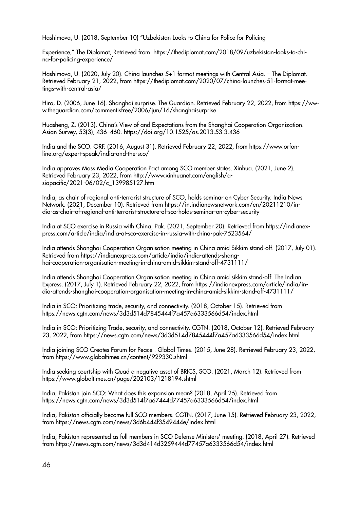Hashimova, U. (2018, September 10) "Uzbekistan Looks to China for Police for Policing

Experience," The Diplomat, Retrieved from https://thediplomat.com/2018/09/uzbekistan-looks-to-china-for-policing-experience/

Hashimova, U. (2020, July 20). China launches 5+1 format meetings with Central Asia. – The Diplomat. Retrieved February 21, 2022, from https://thediplomat.com/2020/07/china-launches-51-format-meetings-with-central-asia/

Hiro, D. (2006, June 16). Shanghai surprise. The Guardian. Retrieved February 22, 2022, from https://www.theguardian.com/commentisfree/2006/jun/16/shanghaisurprise

Huasheng, Z. (2013). China's View of and Expectations from the Shanghai Cooperation Organization. Asian Survey, 53(3), 436–460. https://doi.org/10.1525/as.2013.53.3.436

India and the SCO. ORF. (2016, August 31). Retrieved February 22, 2022, from https://www.orfonline.org/expert-speak/india-and-the-sco/

India approves Mass Media Cooperation Pact among SCO member states. Xinhua. (2021, June 2). Retrieved February 23, 2022, from http://www.xinhuanet.com/english/asiapacific/2021-06/02/c\_139985127.htm

India, as chair of regional anti-terrorist structure of SCO, holds seminar on Cyber Security. India News Network. (2021, December 10). Retrieved from https://in.indianewsnetwork.com/en/20211210/india-as-chair-of-regional-anti-terrorist-structure-of-sco-holds-seminar-on-cyber-security

India at SCO exercise in Russia with China, Pak. (2021, September 20). Retrieved from https://indianexpress.com/article/india/india-at-sco-exercise-in-russia-with-china-pak-7523564/

India attends Shanghai Cooperation Organisation meeting in China amid Sikkim stand-off. (2017, July 01). Retrieved from https://indianexpress.com/article/india/india-attends-shanghai-cooperation-organisation-meeting-in-china-amid-sikkim-stand-off-4731111/

India attends Shanghai Cooperation Organisation meeting in China amid sikkim stand-off. The Indian Express. (2017, July 1). Retrieved February 22, 2022, from https://indianexpress.com/article/india/india-attends-shanghai-cooperation-organisation-meeting-in-china-amid-sikkim-stand-off-4731111/

India in SCO: Prioritizing trade, security, and connectivity. (2018, October 15). Retrieved from https://news.cgtn.com/news/3d3d514d7845444f7a457a6333566d54/index.html

India in SCO: Prioritizing Trade, security, and connectivity. CGTN. (2018, October 12). Retrieved February 23, 2022, from https://news.cgtn.com/news/3d3d514d7845444f7a457a6333566d54/index.html

India joining SCO Creates Forum for Peace . Global Times. (2015, June 28). Retrieved February 23, 2022, from https://www.globaltimes.cn/content/929330.shtml

India seeking courtship with Quad a negative asset of BRICS, SCO. (2021, March 12). Retrieved from https://www.globaltimes.cn/page/202103/1218194.shtml

India, Pakistan join SCO: What does this expansion mean? (2018, April 25). Retrieved from https://news.cgtn.com/news/3d3d514f7a67444d77457a6333566d54/index.html

India, Pakistan officially become full SCO members. CGTN. (2017, June 15). Retrieved February 23, 2022, from https://news.cgtn.com/news/3d6b444f3549444e/index.html

India, Pakistan represented as full members in SCO Defense Ministers' meeting. (2018, April 27). Retrieved from https://news.cgtn.com/news/3d3d414d3259444d77457a6333566d54/index.html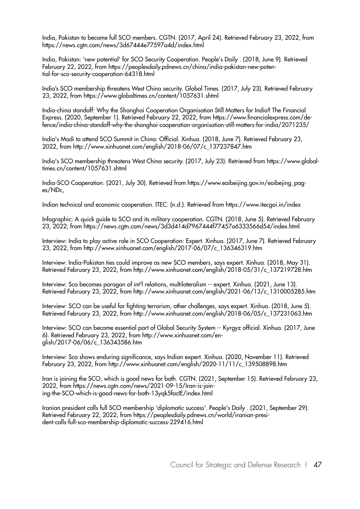India, Pakistan to become full SCO members. CGTN. (2017, April 24). Retrieved February 23, 2022, from https://news.cgtn.com/news/3d67444e77597a4d/index.html

India, Pakistan: 'new potential' for SCO Security Cooperation. People's Daily . (2018, June 9). Retrieved February 22, 2022, from https://peoplesdaily.pdnews.cn/china/india-pakistan-new-potential-for-sco-security-cooperation-64318.html

India's SCO membership threatens West China security. Global Times. (2017, July 23). Retrieved February 23, 2022, from https://www.globaltimes.cn/content/1057631.shtml

India-china standoff: Why the Shanghai Cooperation Organisation Still Matters for India? The Financial Express. (2020, September 1). Retrieved February 22, 2022, from https://www.financialexpress.com/defence/india-china-standoff-why-the-shanghai-cooperation-organisation-still-matters-for-india/2071235/

India's Modi to attend SCO Summit in China: Official. Xinhua. (2018, June 7). Retrieved February 23, 2022, from http://www.xinhuanet.com/english/2018-06/07/c\_137237847.htm

India's SCO membership threatens West China security. (2017, July 23). Retrieved from https://www.globaltimes.cn/content/1057631.shtml

India-SCO Cooperation. (2021, July 30). Retrieved from https://www.eoibeijing.gov.in/eoibejing\_pages/NDc,

Indian technical and economic cooperation. ITEC. (n.d.). Retrieved from https://www.itecgoi.in/index

Infographic: A quick guide to SCO and its military cooperation. CGTN. (2018, June 5). Retrieved February 23, 2022, from https://news.cgtn.com/news/3d3d414d7967444f77457a6333566d54/index.html

Interview: India to play active role in SCO Cooperation: Expert. Xinhua. (2017, June 7). Retrieved February 23, 2022, from http://www.xinhuanet.com/english/2017-06/07/c\_136346319.htm

Interview: India-Pakistan ties could improve as new SCO members, says expert. Xinhua. (2018, May 31). Retrieved February 23, 2022, from http://www.xinhuanet.com/english/2018-05/31/c\_137219728.htm

Interview: Sco becomes paragon of int'l relations, multilateralism -- expert. Xinhua. (2021, June 13). Retrieved February 23, 2022, from http://www.xinhuanet.com/english/2021-06/13/c\_1310005285.htm

Interview: SCO can be useful for fighting terrorism, other challenges, says expert. Xinhua. (2018, June 5). Retrieved February 23, 2022, from http://www.xinhuanet.com/english/2018-06/05/c\_137231063.htm

Interview: SCO can become essential part of Global Security System -- Kyrgyz official. Xinhua. (2017, June 6). Retrieved February 23, 2022, from http://www.xinhuanet.com/english/2017-06/06/c\_136343586.htm

Interview: Sco shows enduring significance, says Indian expert. Xinhua. (2020, November 11). Retrieved February 23, 2022, from http://www.xinhuanet.com/english/2020-11/11/c\_139508898.htm

Iran is joining the SCO, which is good news for both. CGTN. (2021, September 15). Retrieved February 23, 2022, from https://news.cgtn.com/news/2021-09-15/Iran-is-joining-the-SCO-which-is-good-news-for-both-13yqk5facIE/index.html

Iranian president calls full SCO membership 'diplomatic success'. People's Daily . (2021, September 29). Retrieved February 22, 2022, from https://peoplesdaily.pdnews.cn/world/iranian-president-calls-full-sco-membership-diplomatic-success-229416.html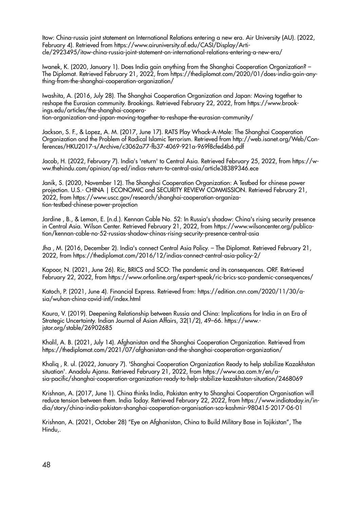Itow: China-russia joint statement on International Relations entering a new era. Air University (AU). (2022, February 4). Retrieved from https://www.airuniversity.af.edu/CASI/Display/Article/2923495/itow-china-russia-joint-statement-on-international-relations-entering-a-new-era/

Iwanek, K. (2020, January 1). Does India gain anything from the Shanghai Cooperation Organization? – The Diplomat. Retrieved February 21, 2022, from https://thediplomat.com/2020/01/does-india-gain-anything-from-the-shanghai-cooperation-organization/

Iwashita, A. (2016, July 28). The Shanghai Cooperation Organization and Japan: Moving together to reshape the Eurasian community. Brookings. Retrieved February 22, 2022, from https://www.brookings.edu/articles/the-shanghai-cooperation-organization-and-japan-moving-together-to-reshape-the-eurasian-community/

Jackson, S. F., & Lopez, A. M. (2017, June 17). RATS Play Whack-A-Mole: The Shanghai Cooperation Organization and the Problem of Radical Islamic Terrorism. Retrieved from http://web.isanet.org/Web/Conferences/HKU2017-s/Archive/c3062a77-fb37-4069-921a-969f8cfed4b6.pdf

Jacob, H. (2022, February 7). India's 'return' to Central Asia. Retrieved February 25, 2022, from https://www.thehindu.com/opinion/op-ed/indias-return-to-central-asia/article38389346.ece

Janik, S. (2020, November 12). The Shanghai Cooperation Organization: A Testbed for chinese power projection. U.S.- CHINA | ECONOMIC and SECURITY REVIEW COMMISSION. Retrieved February 21, 2022, from https://www.uscc.gov/research/shanghai-cooperation-organization-testbed-chinese-power-projection

Jardine , B., & Lemon, E. (n.d.). Kennan Cable No. 52: In Russia's shadow: China's rising security presence in Central Asia. Wilson Center. Retrieved February 21, 2022, from https://www.wilsoncenter.org/publication/kennan-cable-no-52-russias-shadow-chinas-rising-security-presence-central-asia

Jha , M. (2016, December 2). India's connect Central Asia Policy. – The Diplomat. Retrieved February 21, 2022, from https://thediplomat.com/2016/12/indias-connect-central-asia-policy-2/

Kapoor, N. (2021, June 26). Ric, BRICS and SCO: The pandemic and its consequences. ORF. Retrieved February 22, 2022, from https://www.orfonline.org/expert-speak/ric-brics-sco-pandemic-consequences/

Katoch, P. (2021, June 4). Financial Express. Retrieved from: https://edition.cnn.com/2020/11/30/asia/wuhan-china-covid-intl/index.html

Kaura, V. (2019). Deepening Relationship between Russia and China: Implications for India in an Era of Strategic Uncertainty. Indian Journal of Asian Affairs, 32(1/2), 49–66. https://www. jstor.org/stable/26902685

Khalil, A. B. (2021, July 14). Afghanistan and the Shanghai Cooperation Organization. Retrieved from https://thediplomat.com/2021/07/afghanistan-and-the-shanghai-cooperation-organization/

Khaliq , R. ul. (2022, January 7). 'Shanghai Cooperation Organization Ready to help stabilize Kazakhstan situation'. Anadolu Ajansı. Retrieved February 21, 2022, from https://www.aa.com.tr/en/asia-pacific/shanghai-cooperation-organization-ready-to-help-stabilize-kazakhstan-situation/2468069

Krishnan, A. (2017, June 1). China thinks India, Pakistan entry to Shanghai Cooperation Organisation will reduce tension between them. India Today. Retrieved February 22, 2022, from https://www.indiatoday.in/india/story/china-india-pakistan-shanghai-cooperation-organisation-sco-kashmir-980415-2017-06-01

Krishnan, A. (2021, October 28) "Eye on Afghanistan, China to Build Military Base in Tajikistan", The Hindu,.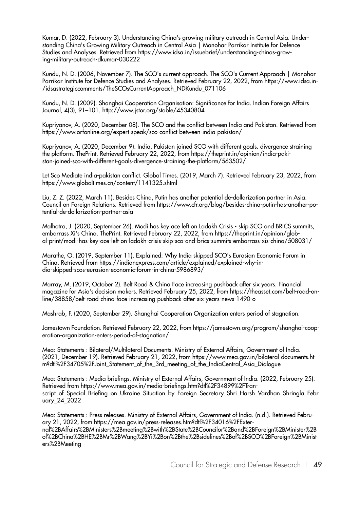Kumar, D. (2022, February 3). Understanding China's growing military outreach in Central Asia. Understanding China's Growing Military Outreach in Central Asia | Manohar Parrikar Institute for Defence Studies and Analyses. Retrieved from https://www.idsa.in/issuebrief/understanding-chinas-growing-military-outreach-dkumar-030222

Kundu, N. D. (2006, November 7). The SCO's current approach. The SCO's Current Approach | Manohar Parrikar Institute for Defence Studies and Analyses. Retrieved February 22, 2022, from https://www.idsa.in- /idsastrategiccomments/TheSCOsCurrentApproach\_NDKundu\_071106

Kundu, N. D. (2009). Shanghai Cooperation Organisation: Significance for India. Indian Foreign Affairs Journal, 4(3), 91–101. http://www.jstor.org/stable/45340804

Kupriyanov, A. (2020, December 08). The SCO and the conflict between India and Pakistan. Retrieved from https://www.orfonline.org/expert-speak/sco-conflict-between-india-pakistan/

Kupriyanov, A. (2020, December 9). India, Pakistan joined SCO with different goals. divergence straining the platform. ThePrint. Retrieved February 22, 2022, from https://theprint.in/opinion/india-pakistan-joined-sco-with-different-goals-divergence-straining-the-platform/563502/

Let Sco Mediate india-pakistan conflict. Global Times. (2019, March 7). Retrieved February 23, 2022, from https://www.globaltimes.cn/content/1141325.shtml

Liu, Z. Z. (2022, March 11). Besides China, Putin has another potential de-dollarization partner in Asia. Council on Foreign Relations. Retrieved from https://www.cfr.org/blog/besides-china-putin-has-another-potential-de-dollarization-partner-asia

Malhotra, J. (2020, September 26). Modi has key ace left on Ladakh Crisis - skip SCO and BRICS summits, embarrass Xi's China. ThePrint. Retrieved February 22, 2022, from https://theprint.in/opinion/global-print/modi-has-key-ace-left-on-ladakh-crisis-skip-sco-and-brics-summits-embarrass-xis-china/508031/

Marathe, O. (2019, September 11). Explained: Why India skipped SCO's Eurasian Economic Forum in China. Retrieved from https://indianexpress.com/article/explained/explained-why-india-skipped-scos-eurasian-economic-forum-in-china-5986893/

Marray, M. (2019, October 2). Belt Road & China Face increasing pushback after six years. Financial magazine for Asia's decision makers. Retrieved February 25, 2022, from https://theasset.com/belt-road-online/38858/belt-road-china-face-increasing-pushback-after-six-years-news-1490-o

Mashrab, F. (2020, September 29). Shanghai Cooperation Organization enters period of stagnation.

Jamestown Foundation. Retrieved February 22, 2022, from https://jamestown.org/program/shanghai-cooperation-organization-enters-period-of-stagnation/

Mea: Statements : Bilateral/Multilateral Documents. Ministry of External Affairs, Government of India. (2021, December 19). Retrieved February 21, 2022, from https://www.mea.gov.in/bilateral-documents.htm?dtl%2F34705%2FJoint Statement of the 3rd meeting of the IndiaCentral Asia Dialogue

Mea: Statements : Media briefings. Ministry of External Affairs, Government of India. (2022, February 25). Retrieved from https://www.mea.gov.in/media-briefings.htm?dtl%2F34899%2FTranscript of Special Briefing on Ukraine Situation by Foreign Secretary Shri Harsh Vardhan Shringla Febr uary\_24\_2022

Mea: Statements : Press releases. Ministry of External Affairs, Government of India. (n.d.). Retrieved February 21, 2022, from https://mea.gov.in/press-releases.htm?dtl%2F34016%2FExternal%2BAffairs%2BMinisters%2Bmeeting%2Bwith%2BState%2BCouncilor%2Band%2BForeign%2BMinister%2B of%2BChina%2BHE%2BMr%2BWang%2BYi%2Bon%2Bthe%2Bsidelines%2Bof%2BSCO%2BForeign%2BMinist ers%2BMeeting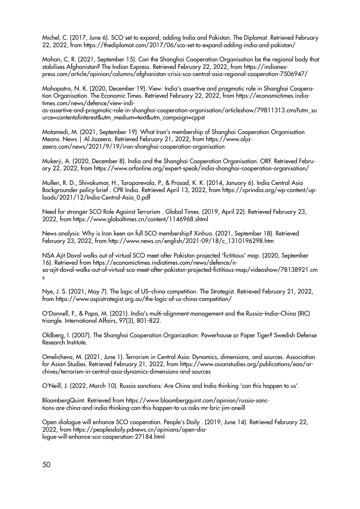Michel, C. (2017, June 6). SCO set to expand, adding India and Pakistan. The Diplomat. Retrieved February 22, 2022, from https://thediplomat.com/2017/06/sco-set-to-expand-adding-india-and-pakistan/

Mohan, C. R. (2021, September 15). Can the Shanghai Cooperation Organisation be the regional body that stabilises Afghanistan? The Indian Express. Retrieved February 22, 2022, from https://indianexpress.com/article/opinion/columns/afghanistan-crisis-sco-central-asia-regional-cooperation-7506947/

Mohapatra, N. K. (2020, December 19). View: India's assertive and pragmatic role in Shanghai Cooperation Organisation. The Economic Times. Retrieved February 22, 2022, from https://economictimes.indiatimes.com/news/defence/view-indi-

as-assertive-and-pragmatic-role-in-shanghai-cooperation-organisation/articleshow/79811313.cms?utm\_so urce=contentofinterest&utm\_medium=text&utm\_campaign=cppst

Motamedi, M. (2021, September 19). What Iran's membership of Shanghai Cooperation Organisation Means. News | Al Jazeera. Retrieved February 21, 2022, from https://www.aljazeera.com/news/2021/9/19/iran-shanghai-cooperation-organisation

Mukerji, A. (2020, December 8). India and the Shanghai Cooperation Organisation. ORF. Retrieved February 22, 2022, from https://www.orfonline.org/expert-speak/india-shanghai-cooperation-organisation/

Mullen, R. D., Shivakumar, H., Taraporevala, P., & Prasad, K. K. (2014, January 6). India Central Asia Backgrounder policy brief . CPR India. Retrieved April 13, 2022, from https://cprindia.org/wp-content/uploads/2021/12/India-Central-Asia\_0.pdf

Need for stronger SCO Role Against Terrorism . Global Times. (2019, April 22). Retrieved February 23, 2022, from https://www.globaltimes.cn/content/1146968.shtml

News analysis: Why is Iran keen on full SCO membership? Xinhua. (2021, September 18). Retrieved February 23, 2022, from http://www.news.cn/english/2021-09/18/c\_1310196298.htm

NSA Ajit Doval walks out of virtual SCO meet after Pakistan projected 'fictitious' map. (2020, September 16). Retrieved from https://economictimes.indiatimes.com/news/defence/nsa-ajit-doval-walks-out-of-virtual-sco-meet-after-pakistan-projected-fictitious-map/videoshow/78138921.cm s

Nye, J. S. (2021, May 7). The logic of US–china competition. The Strategist. Retrieved February 21, 2022, from https://www.aspistrategist.org.au/the-logic-of-us-china-competition/

O'Donnell, F., & Papa, M. (2021). India's multi-alignment management and the Russia–India–China (RIC) triangle. International Affairs, 97(3), 801-822.

Oldberg, I. (2007). The Shanghai Cooperation Organization: Powerhouse or Paper Tiger? Swedish Defense Research Institute.

Omelicheva, M. (2021, June 1). Terrorism in Central Asia: Dynamics, dimensions, and sources. Association for Asian Studies. Retrieved February 21, 2022, from https://www.asianstudies.org/publications/eaa/archives/terrorism-in-central-asia-dynamics-dimensions-and-sources

O'Neill, J. (2022, March 10). Russia sanctions: Are China and India thinking 'can this happen to us'.

BloombergQuint. Retrieved from https://www.bloombergquint.com/opinion/russia-sanctions-are-china-and-india-thinking-can-this-happen-to-us-asks-mr-bric-jim-oneill

Open dialogue will enhance SCO cooperation. People's Daily . (2019, June 14). Retrieved February 22, 2022, from https://peoplesdaily.pdnews.cn/opinions/open-dialogue-will-enhance-sco-cooperation-27184.html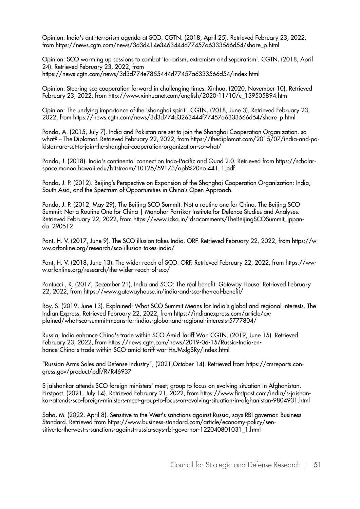Opinion: India's anti-terrorism agenda at SCO. CGTN. (2018, April 25). Retrieved February 23, 2022, from https://news.cgtn.com/news/3d3d414e3463444d77457a6333566d54/share\_p.html

Opinion: SCO warming up sessions to combat 'terrorism, extremism and separatism'. CGTN. (2018, April 24). Retrieved February 23, 2022, from https://news.cgtn.com/news/3d3d774e7855444d77457a6333566d54/index.html

Opinion: Steering sco cooperation forward in challenging times. Xinhua. (2020, November 10). Retrieved February 23, 2022, from http://www.xinhuanet.com/english/2020-11/10/c\_139505894.htm

Opinion: The undying importance of the 'shanghai spirit'. CGTN. (2018, June 3). Retrieved February 23, 2022, from https://news.cgtn.com/news/3d3d774d3263444f77457a6333566d54/share\_p.html

Panda, A. (2015, July 7). India and Pakistan are set to join the Shanghai Cooperation Organization. so what? – The Diplomat. Retrieved February 22, 2022, from https://thediplomat.com/2015/07/india-and-pakistan-are-set-to-join-the-shanghai-cooperation-organization-so-what/

Panda, J. (2018). India's continental connect on Indo-Pacific and Quad 2.0. Retrieved from https://scholarspace.manoa.hawaii.edu/bitstream/10125/59173/apb%20no.441\_1.pdf

Panda, J. P. (2012). Beijing's Perspective on Expansion of the Shanghai Cooperation Organization: India, South Asia, and the Spectrum of Opportunities in China's Open Approach.

Panda, J. P. (2012, May 29). The Beijing SCO Summit: Not a routine one for China. The Beijing SCO Summit: Not a Routine One for China | Manohar Parrikar Institute for Defence Studies and Analyses. Retrieved February 22, 2022, from https://www.idsa.in/idsacomments/TheBeijingSCOSummit\_jppanda\_290512

Pant, H. V. (2017, June 9). The SCO illusion takes India. ORF. Retrieved February 22, 2022, from https://www.orfonline.org/research/sco-illusion-takes-india/

Pant, H. V. (2018, June 13). The wider reach of SCO. ORF. Retrieved February 22, 2022, from https://www.orfonline.org/research/the-wider-reach-of-sco/

Pantucci , R. (2017, December 21). India and SCO: The real benefit. Gateway House. Retrieved February 22, 2022, from https://www.gatewayhouse.in/india-and-sco-the-real-benefit/

Roy, S. (2019, June 13). Explained: What SCO Summit Means for India's global and regional interests. The Indian Express. Retrieved February 22, 2022, from https://indianexpress.com/article/explained/what-sco-summit-means-for-indias-global-and-regional-interests-5777804/

Russia, India enhance China's trade within SCO Amid Tariff War. CGTN. (2019, June 15). Retrieved February 23, 2022, from https://news.cgtn.com/news/2019-06-15/Russia-India-enhance-China-s-trade-within-SCO-amid-tariff-war-HxJMxlgSRy/index.html

"Russian Arms Sales and Defense Industry", (2021,October 14). Retrieved from https://crsreports.congress.gov/product/pdf/R/R46937

S jaishankar attends SCO foreign ministers' meet; group to focus on evolving situation in Afghanistan. Firstpost. (2021, July 14). Retrieved February 21, 2022, from https://www.firstpost.com/india/s-jaishankar-attends-sco-foreign-ministers-meet-group-to-focus-on-evolving-situation-in-afghanistan-9804931.html

Saha, M. (2022, April 8). Sensitive to the West's sanctions against Russia, says RBI governor. Business Standard. Retrieved from https://www.business-standard.com/article/economy-policy/sensitive-to-the-west-s-sanctions-against-russia-says-rbi-governor-122040801031\_1.html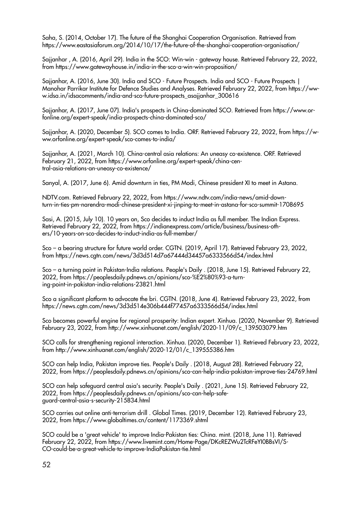Saha, S. (2014, October 17). The future of the Shanghai Cooperation Organisation. Retrieved from https://www.eastasiaforum.org/2014/10/17/the-future-of-the-shanghai-cooperation-organisation/

Sajjanhar , A. (2016, April 29). India in the SCO: Win-win - gateway house. Retrieved February 22, 2022, from https://www.gatewayhouse.in/india-in-the-sco-a-win-win-proposition/

Sajjanhar, A. (2016, June 30). India and SCO - Future Prospects. India and SCO - Future Prospects | Manohar Parrikar Institute for Defence Studies and Analyses. Retrieved February 22, 2022, from https://www.idsa.in/idsacomments/india-and-sco-future-prospects\_asajjanhar\_300616

Sajjanhar, A. (2017, June 07). India's prospects in China-dominated SCO. Retrieved from https://www.orfonline.org/expert-speak/india-prospects-china-dominated-sco/

Sajjanhar, A. (2020, December 5). SCO comes to India. ORF. Retrieved February 22, 2022, from https://www.orfonline.org/expert-speak/sco-comes-to-india/

Sajjanhar, A. (2021, March 10). China-central asia relations: An uneasy co-existence. ORF. Retrieved February 21, 2022, from https://www.orfonline.org/expert-speak/china-central-asia-relations-an-uneasy-co-existence/

Sanyal, A. (2017, June 6). Amid downturn in ties, PM Modi, Chinese president XI to meet in Astana.

NDTV.com. Retrieved February 22, 2022, from https://www.ndtv.com/india-news/amid-downturn-in-ties-pm-narendra-modi-chinese-president-xi-jinping-to-meet-in-astana-for-sco-summit-1708695

Sasi, A. (2015, July 10). 10 years on, Sco decides to induct India as full member. The Indian Express. Retrieved February 22, 2022, from https://indianexpress.com/article/business/business-others/10-years-on-sco-decides-to-induct-india-as-full-member/

Sco – a bearing structure for future world order. CGTN. (2019, April 17). Retrieved February 23, 2022, from https://news.cgtn.com/news/3d3d514d7a67444d34457a6333566d54/index.html

Sco – a turning point in Pakistan-India relations. People's Daily . (2018, June 15). Retrieved February 22, 2022, from https://peoplesdaily.pdnews.cn/opinions/sco-%E2%80%93-a-turning-point-in-pakistan-india-relations-23821.html

Sco a significant platform to advocate the bri. CGTN. (2018, June 4). Retrieved February 23, 2022, from https://news.cgtn.com/news/3d3d514e306b444f77457a6333566d54/index.html

Sco becomes powerful engine for regional prosperity: Indian expert. Xinhua. (2020, November 9). Retrieved February 23, 2022, from http://www.xinhuanet.com/english/2020-11/09/c\_139503079.htm

SCO calls for strengthening regional interaction. Xinhua. (2020, December 1). Retrieved February 23, 2022, from http://www.xinhuanet.com/english/2020-12/01/c\_139555386.htm

SCO can help India, Pakistan improve ties. People's Daily . (2018, August 28). Retrieved February 22, 2022, from https://peoplesdaily.pdnews.cn/opinions/sco-can-help-india-pakistan-improve-ties-24769.html

SCO can help safeguard central asia's security. People's Daily . (2021, June 15). Retrieved February 22, 2022, from https://peoplesdaily.pdnews.cn/opinions/sco-can-help-safeguard-central-asia-s-security-215834.html

SCO carries out online anti-terrorism drill . Global Times. (2019, December 12). Retrieved February 23, 2022, from https://www.globaltimes.cn/content/1173369.shtml

SCO could be a 'great vehicle' to improve India-Pakistan ties: China. mint. (2018, June 11). Retrieved February 22, 2022, from https://www.livemint.com/Home-Page/DKcREZWu2TcRFeYI0BBsVI/S-CO-could-be-a-great-vehicle-to-improve-IndiaPakistan-tie.html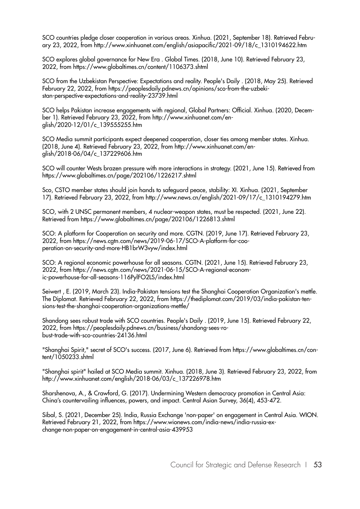SCO countries pledge closer cooperation in various areas. Xinhua. (2021, September 18). Retrieved February 23, 2022, from http://www.xinhuanet.com/english/asiapacific/2021-09/18/c\_1310194622.htm

SCO explores global governance for New Era . Global Times. (2018, June 10). Retrieved February 23, 2022, from https://www.globaltimes.cn/content/1106373.shtml

SCO from the Uzbekistan Perspective: Expectations and reality. People's Daily . (2018, May 25). Retrieved February 22, 2022, from https://peoplesdaily.pdnews.cn/opinions/sco-from-the-uzbekistan-perspective-expectations-and-reality-23739.html

SCO helps Pakistan increase engagements with regional, Global Partners: Official. Xinhua. (2020, December 1). Retrieved February 23, 2022, from http://www.xinhuanet.com/english/2020-12/01/c\_139555255.htm

SCO Media summit participants expect deepened cooperation, closer ties among member states. Xinhua. (2018, June 4). Retrieved February 23, 2022, from http://www.xinhuanet.com/english/2018-06/04/c\_137229606.htm

SCO will counter Wests brazen pressure with more interactions in strategy. (2021, June 15). Retrieved from https://www.globaltimes.cn/page/202106/1226217.shtml

Sco, CSTO member states should join hands to safeguard peace, stability: XI. Xinhua. (2021, September 17). Retrieved February 23, 2022, from http://www.news.cn/english/2021-09/17/c\_1310194279.htm

SCO, with 2 UNSC permanent members, 4 nuclear-weapon states, must be respected. (2021, June 22). Retrieved from https://www.globaltimes.cn/page/202106/1226813.shtml

SCO: A platform for Cooperation on security and more. CGTN. (2019, June 17). Retrieved February 23, 2022, from https://news.cgtn.com/news/2019-06-17/SCO-A-platform-for-cooperation-on-security-and-more-HB1brW3vyw/index.html

SCO: A regional economic powerhouse for all seasons. CGTN. (2021, June 15). Retrieved February 23, 2022, from https://news.cgtn.com/news/2021-06-15/SCO-A-regional-economic-powerhouse-for-all-seasons-116PylFO2LS/index.html

Seiwert , E. (2019, March 23). India-Pakistan tensions test the Shanghai Cooperation Organization's mettle. The Diplomat. Retrieved February 22, 2022, from https://thediplomat.com/2019/03/india-pakistan-tensions-test-the-shanghai-cooperation-organizations-mettle/

Shandong sees robust trade with SCO countries. People's Daily . (2019, June 15). Retrieved February 22, 2022, from https://peoplesdaily.pdnews.cn/business/shandong-sees-robust-trade-with-sco-countries-24136.html

"Shanghai Spirit," secret of SCO's success. (2017, June 6). Retrieved from https://www.globaltimes.cn/content/1050233.shtml

"Shanghai spirit" hailed at SCO Media summit. Xinhua. (2018, June 3). Retrieved February 23, 2022, from http://www.xinhuanet.com/english/2018-06/03/c\_137226978.htm

Sharshenova, A., & Crawford, G. (2017). Undermining Western democracy promotion in Central Asia: China's countervailing influences, powers, and impact. Central Asian Survey, 36(4), 453-472.

Sibal, S. (2021, December 25). India, Russia Exchange 'non-paper' on engagement in Central Asia. WION. Retrieved February 21, 2022, from https://www.wionews.com/india-news/india-russia-exchange-non-paper-on-engagement-in-central-asia-439953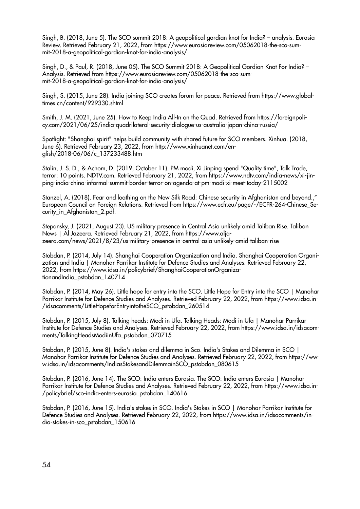Singh, B. (2018, June 5). The SCO summit 2018: A geopolitical gordian knot for India? – analysis. Eurasia Review. Retrieved February 21, 2022, from https://www.eurasiareview.com/05062018-the-sco-summit-2018-a-geopolitical-gordian-knot-for-india-analysis/

Singh, D., & Paul, R. (2018, June 05). The SCO Summit 2018: A Geopolitical Gordian Knot For India? – Analysis. Retrieved from https://www.eurasiareview.com/05062018-the-sco-summit-2018-a-geopolitical-gordian-knot-for-india-analysis/

Singh, S. (2015, June 28). India joining SCO creates forum for peace. Retrieved from https://www.globaltimes.cn/content/929330.shtml

Smith, J. M. (2021, June 25). How to Keep India All-In on the Quad. Retrieved from https://foreignpolicy.com/2021/06/25/india-quadrilateral-security-dialogue-us-australia-japan-china-russia/

Spotlight: "Shanghai spirit" helps build community with shared future for SCO members. Xinhua. (2018, June 6). Retrieved February 23, 2022, from http://www.xinhuanet.com/english/2018-06/06/c\_137233488.htm

Stalin, J. S. D., & Achom, D. (2019, October 11). PM modi, Xi Jinping spend "Quality time", Talk Trade, terror: 10 points. NDTV.com. Retrieved February 21, 2022, from https://www.ndtv.com/india-news/xi-jinping-india-china-informal-summit-border-terror-on-agenda-at-pm-modi-xi-meet-today-2115002

Stanzel, A. (2018). Fear and loathing on the New Silk Road: Chinese security in Afghanistan and beyond.," European Council on Foreign Relations. Retrieved from https://www.ecfr.eu/page/-/ECFR-264-Chinese\_Security in Afghanistan 2.pdf.

Stepansky, J. (2021, August 23). US military presence in Central Asia unlikely amid Taliban Rise. Taliban News | Al Jazeera. Retrieved February 21, 2022, from https://www.aljazeera.com/news/2021/8/23/us-military-presence-in-central-asia-unlikely-amid-taliban-rise

Stobdan, P. (2014, July 14). Shanghai Cooperation Organization and India. Shanghai Cooperation Organization and India | Manohar Parrikar Institute for Defence Studies and Analyses. Retrieved February 22, 2022, from https://www.idsa.in/policybrief/ShanghaiCooperationOrganizationandIndia\_pstobdan\_140714

Stobdan, P. (2014, May 26). Little hope for entry into the SCO. Little Hope for Entry into the SCO | Manohar Parrikar Institute for Defence Studies and Analyses. Retrieved February 22, 2022, from https://www.idsa.in- /idsacomments/LittleHopeforEntryintotheSCO\_pstobdan\_260514

Stobdan, P. (2015, July 8). Talking heads: Modi in Ufa. Talking Heads: Modi in Ufa | Manohar Parrikar Institute for Defence Studies and Analyses. Retrieved February 22, 2022, from https://www.idsa.in/idsacomments/TalkingHeadsModiinUfa\_pstobdan\_070715

Stobdan, P. (2015, June 8). India's stakes and dilemma in Sco. India's Stakes and Dilemma in SCO | Manohar Parrikar Institute for Defence Studies and Analyses. Retrieved February 22, 2022, from https://www.idsa.in/idsacomments/IndiasStakesandDilemmainSCO\_pstobdan\_080615

Stobdan, P. (2016, June 14). The SCO: India enters Eurasia. The SCO: India enters Eurasia | Manohar Parrikar Institute for Defence Studies and Analyses. Retrieved February 22, 2022, from https://www.idsa.in- /policybrief/sco-india-enters-eurasia\_pstobdan\_140616

Stobdan, P. (2016, June 15). India's stakes in SCO. India's Stakes in SCO | Manohar Parrikar Institute for Defence Studies and Analyses. Retrieved February 22, 2022, from https://www.idsa.in/idsacomments/india-stakes-in-sco\_pstobdan\_150616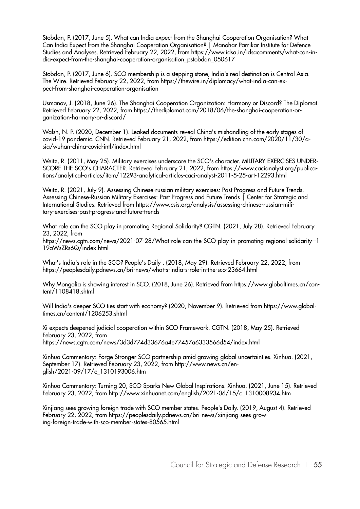Stobdan, P. (2017, June 5). What can India expect from the Shanghai Cooperation Organisation? What Can India Expect from the Shanghai Cooperation Organisation? | Manohar Parrikar Institute for Defence Studies and Analyses. Retrieved February 22, 2022, from https://www.idsa.in/idsacomments/what-can-india-expect-from-the-shanghai-cooperation-organisation\_pstobdan\_050617

Stobdan, P. (2017, June 6). SCO membership is a stepping stone, India's real destination is Central Asia. The Wire. Retrieved February 22, 2022, from https://thewire.in/diplomacy/what-india-can-expect-from-shanghai-cooperation-organisation

Usmanov, J. (2018, June 26). The Shanghai Cooperation Organization: Harmony or Discord? The Diplomat. Retrieved February 22, 2022, from https://thediplomat.com/2018/06/the-shanghai-cooperation-organization-harmony-or-discord/

Walsh, N. P. (2020, December 1). Leaked documents reveal China's mishandling of the early stages of covid-19 pandemic. CNN. Retrieved February 21, 2022, from https://edition.cnn.com/2020/11/30/asia/wuhan-china-covid-intl/index.html

Weitz, R. (2011, May 25). Military exercises underscore the SCO's character. MILITARY EXERCISES UNDER-SCORE THE SCO's CHARACTER. Retrieved February 21, 2022, from https://www.cacianalyst.org/publications/analytical-articles/item/12293-analytical-articles-caci-analyst-2011-5-25-art-12293.html

Weitz, R. (2021, July 9). Assessing Chinese-russian military exercises: Past Progress and Future Trends. Assessing Chinese-Russian Military Exercises: Past Progress and Future Trends | Center for Strategic and International Studies. Retrieved from https://www.csis.org/analysis/assessing-chinese-russian-military-exercises-past-progress-and-future-trends

What role can the SCO play in promoting Regional Solidarity? CGTN. (2021, July 28). Retrieved February 23, 2022, from

https://news.cgtn.com/news/2021-07-28/What-role-can-the-SCO-play-in-promoting-regional-solidarity--1 19aWsZRs6Q/index.html

What's India's role in the SCO? People's Daily . (2018, May 29). Retrieved February 22, 2022, from https://peoplesdaily.pdnews.cn/bri-news/what-s-india-s-role-in-the-sco-23664.html

Why Mongolia is showing interest in SCO. (2018, June 26). Retrieved from https://www.globaltimes.cn/content/1108418.shtml

Will India's deeper SCO ties start with economy? (2020, November 9). Retrieved from https://www.globaltimes.cn/content/1206253.shtml

Xi expects deepened judicial cooperation within SCO Framework. CGTN. (2018, May 25). Retrieved February 23, 2022, from https://news.cgtn.com/news/3d3d774d33676a4e77457a6333566d54/index.html

Xinhua Commentary: Forge Stronger SCO partnership amid growing global uncertainties. Xinhua. (2021, September 17). Retrieved February 23, 2022, from http://www.news.cn/english/2021-09/17/c\_1310193006.htm

Xinhua Commentary: Turning 20, SCO Sparks New Global Inspirations. Xinhua. (2021, June 15). Retrieved February 23, 2022, from http://www.xinhuanet.com/english/2021-06/15/c\_1310008934.htm

Xinjiang sees growing foreign trade with SCO member states. People's Daily. (2019, August 4). Retrieved February 22, 2022, from https://peoplesdaily.pdnews.cn/bri-news/xinjiang-sees-growing-foreign-trade-with-sco-member-states-80565.html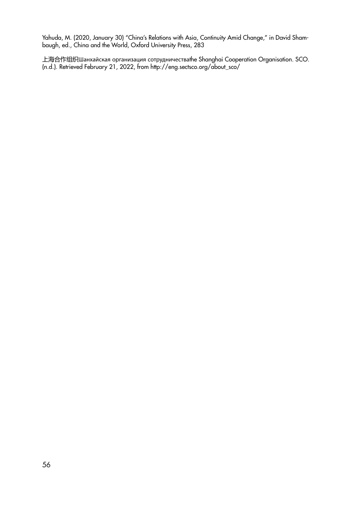Yahuda, M. (2020, January 30) "China's Relations with Asia, Continuity Amid Change," in David Shambaugh, ed., China and the World, Oxford University Press, 283

上海合作组织Шанхайская организация сотрудничестваthe Shanghai Cooperation Organisation. SCO. (n.d.). Retrieved February 21, 2022, from http://eng.sectsco.org/about\_sco/